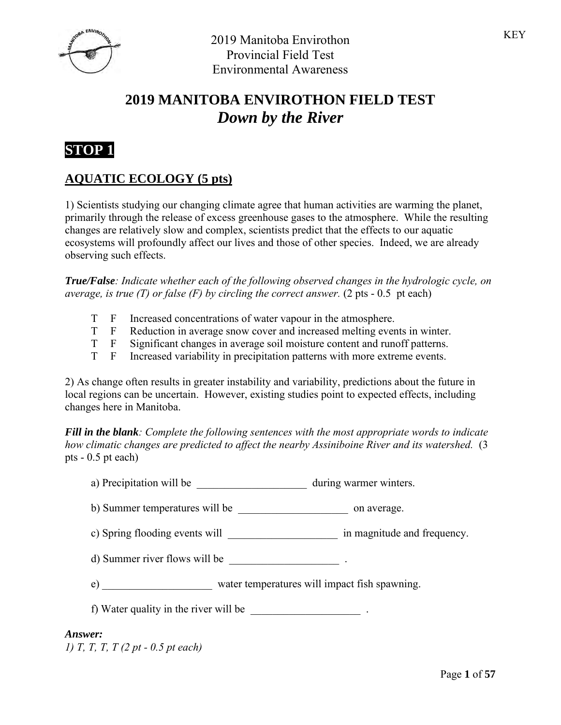

# **2019 MANITOBA ENVIROTHON FIELD TEST** *Down by the River*



## **AQUATIC ECOLOGY (5 pts)**

1) Scientists studying our changing climate agree that human activities are warming the planet, primarily through the release of excess greenhouse gases to the atmosphere. While the resulting changes are relatively slow and complex, scientists predict that the effects to our aquatic ecosystems will profoundly affect our lives and those of other species. Indeed, we are already observing such effects.

*True/False: Indicate whether each of the following observed changes in the hydrologic cycle, on average, is true (T) or false (F) by circling the correct answer.* (2 pts - 0.5 pt each)

- T F Increased concentrations of water vapour in the atmosphere.
- T F Reduction in average snow cover and increased melting events in winter.
- T F Significant changes in average soil moisture content and runoff patterns.
- T F Increased variability in precipitation patterns with more extreme events.

2) As change often results in greater instability and variability, predictions about the future in local regions can be uncertain. However, existing studies point to expected effects, including changes here in Manitoba.

*Fill in the blank: Complete the following sentences with the most appropriate words to indicate how climatic changes are predicted to affect the nearby Assiniboine River and its watershed.* (3 pts - 0.5 pt each)

- a) Precipitation will be \_\_\_\_\_\_\_\_\_\_\_\_\_\_\_\_\_\_\_\_\_\_\_\_ during warmer winters.
- b) Summer temperatures will be  $\qquad \qquad$  on average.
- c) Spring flooding events will \_\_\_\_\_\_\_\_\_\_\_\_\_\_\_\_\_\_\_\_\_\_\_ in magnitude and frequency.
- d) Summer river flows will be \_\_\_\_\_\_\_\_\_\_\_\_\_\_\_\_\_\_\_\_ .
- e) water temperatures will impact fish spawning.
- f) Water quality in the river will be  $\blacksquare$

#### *Answer:*

*1) T, T, T, T (2 pt - 0.5 pt each)*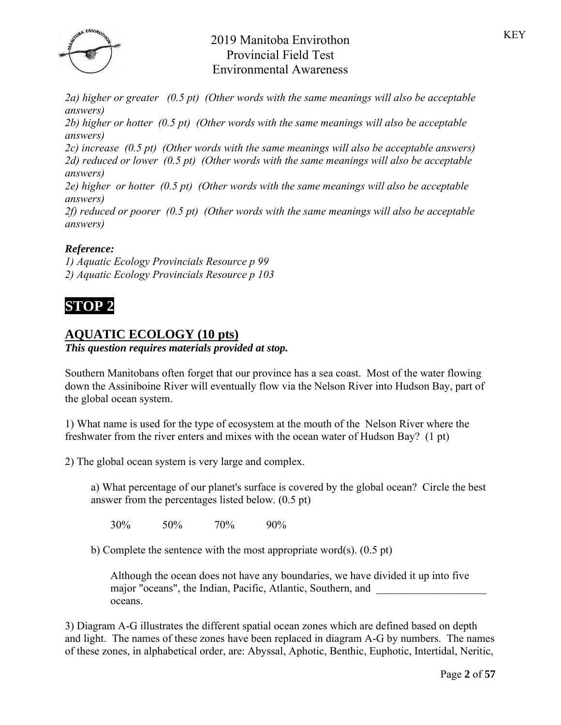

*2a) higher or greater (0.5 pt) (Other words with the same meanings will also be acceptable answers)*

*2b) higher or hotter (0.5 pt) (Other words with the same meanings will also be acceptable answers)*

*2c) increase (0.5 pt) (Other words with the same meanings will also be acceptable answers) 2d) reduced or lower (0.5 pt) (Other words with the same meanings will also be acceptable answers)*

*2e) higher or hotter (0.5 pt) (Other words with the same meanings will also be acceptable answers)*

*2f) reduced or poorer (0.5 pt) (Other words with the same meanings will also be acceptable answers)*

## *Reference:*

*1) Aquatic Ecology Provincials Resource p 99 2) Aquatic Ecology Provincials Resource p 103*



# **AQUATIC ECOLOGY (10 pts)**

*This question requires materials provided at stop.*

Southern Manitobans often forget that our province has a sea coast. Most of the water flowing down the Assiniboine River will eventually flow via the Nelson River into Hudson Bay, part of the global ocean system.

1) What name is used for the type of ecosystem at the mouth of the Nelson River where the freshwater from the river enters and mixes with the ocean water of Hudson Bay? (1 pt)

2) The global ocean system is very large and complex.

a) What percentage of our planet's surface is covered by the global ocean? Circle the best answer from the percentages listed below. (0.5 pt)

30% 50% 70% 90%

b) Complete the sentence with the most appropriate word(s). (0.5 pt)

Although the ocean does not have any boundaries, we have divided it up into five major "oceans", the Indian, Pacific, Atlantic, Southern, and oceans.

3) Diagram A-G illustrates the different spatial ocean zones which are defined based on depth and light. The names of these zones have been replaced in diagram A-G by numbers. The names of these zones, in alphabetical order, are: Abyssal, Aphotic, Benthic, Euphotic, Intertidal, Neritic,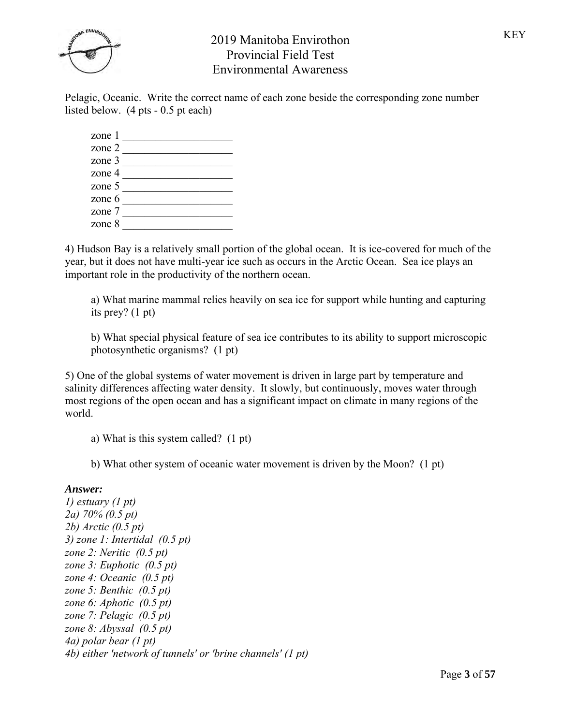

Pelagic, Oceanic. Write the correct name of each zone beside the corresponding zone number listed below. (4 pts - 0.5 pt each)

| zone 1   |  |
|----------|--|
| zone 2   |  |
| zone 3   |  |
| zone 4   |  |
| zone 5   |  |
| zone $6$ |  |
| zone 7   |  |
| zone $8$ |  |

4) Hudson Bay is a relatively small portion of the global ocean. It is ice-covered for much of the year, but it does not have multi-year ice such as occurs in the Arctic Ocean. Sea ice plays an important role in the productivity of the northern ocean.

a) What marine mammal relies heavily on sea ice for support while hunting and capturing its prey? (1 pt)

b) What special physical feature of sea ice contributes to its ability to support microscopic photosynthetic organisms? (1 pt)

5) One of the global systems of water movement is driven in large part by temperature and salinity differences affecting water density. It slowly, but continuously, moves water through most regions of the open ocean and has a significant impact on climate in many regions of the world.

a) What is this system called? (1 pt)

b) What other system of oceanic water movement is driven by the Moon? (1 pt)

### *Answer:*

*1) estuary (1 pt) 2a) 70% (0.5 pt) 2b) Arctic (0.5 pt) 3) zone 1: Intertidal (0.5 pt) zone 2: Neritic (0.5 pt) zone 3: Euphotic (0.5 pt) zone 4: Oceanic (0.5 pt) zone 5: Benthic (0.5 pt) zone 6: Aphotic (0.5 pt) zone 7: Pelagic (0.5 pt) zone 8: Abyssal (0.5 pt) 4a) polar bear (1 pt) 4b) either 'network of tunnels' or 'brine channels' (1 pt)*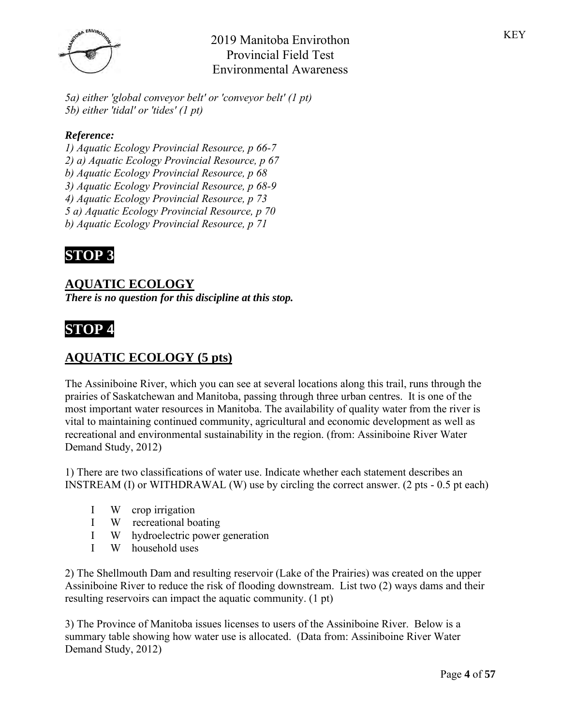

*5a) either 'global conveyor belt' or 'conveyor belt' (1 pt) 5b) either 'tidal' or 'tides' (1 pt)*

## *Reference:*

*1) Aquatic Ecology Provincial Resource, p 66-7 2) a) Aquatic Ecology Provincial Resource, p 67 b) Aquatic Ecology Provincial Resource, p 68 3) Aquatic Ecology Provincial Resource, p 68-9 4) Aquatic Ecology Provincial Resource, p 73 5 a) Aquatic Ecology Provincial Resource, p 70 b) Aquatic Ecology Provincial Resource, p 71*



## **AQUATIC ECOLOGY**

*There is no question for this discipline at this stop.*

# **STOP 4**

## **AQUATIC ECOLOGY (5 pts)**

The Assiniboine River, which you can see at several locations along this trail, runs through the prairies of Saskatchewan and Manitoba, passing through three urban centres. It is one of the most important water resources in Manitoba. The availability of quality water from the river is vital to maintaining continued community, agricultural and economic development as well as recreational and environmental sustainability in the region. (from: Assiniboine River Water Demand Study, 2012)

1) There are two classifications of water use. Indicate whether each statement describes an INSTREAM (I) or WITHDRAWAL (W) use by circling the correct answer. (2 pts - 0.5 pt each)

- I W crop irrigation
- I W recreational boating
- I W hydroelectric power generation
- I W household uses

2) The Shellmouth Dam and resulting reservoir (Lake of the Prairies) was created on the upper Assiniboine River to reduce the risk of flooding downstream. List two (2) ways dams and their resulting reservoirs can impact the aquatic community. (1 pt)

3) The Province of Manitoba issues licenses to users of the Assiniboine River. Below is a summary table showing how water use is allocated. (Data from: Assiniboine River Water Demand Study, 2012)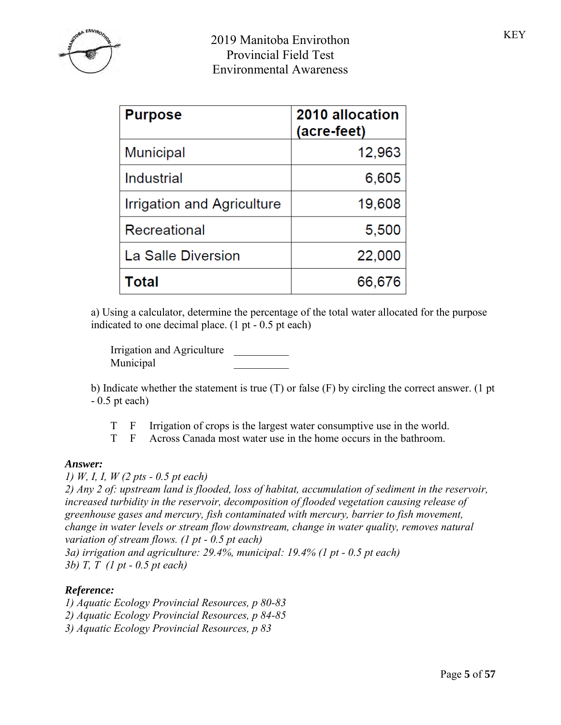

| <b>Purpose</b>             | 2010 allocation<br>(acre-feet) |
|----------------------------|--------------------------------|
| Municipal                  | 12,963                         |
| Industrial                 | 6,605                          |
| Irrigation and Agriculture | 19,608                         |
| Recreational               | 5,500                          |
| La Salle Diversion         | 22,000                         |
| Total                      | 66,676                         |

a) Using a calculator, determine the percentage of the total water allocated for the purpose indicated to one decimal place. (1 pt - 0.5 pt each)

Irrigation and Agriculture \_\_\_\_\_\_\_\_\_\_ Municipal \_\_\_\_\_\_\_\_\_\_

b) Indicate whether the statement is true (T) or false (F) by circling the correct answer. (1 pt - 0.5 pt each)

T F Irrigation of crops is the largest water consumptive use in the world.

T F Across Canada most water use in the home occurs in the bathroom.

### *Answer:*

*1) W, I, I, W (2 pts - 0.5 pt each)*

*2) Any 2 of: upstream land is flooded, loss of habitat, accumulation of sediment in the reservoir, increased turbidity in the reservoir, decomposition of flooded vegetation causing release of greenhouse gases and mercury, fish contaminated with mercury, barrier to fish movement, change in water levels or stream flow downstream, change in water quality, removes natural variation of stream flows. (1 pt - 0.5 pt each)*

*3a) irrigation and agriculture: 29.4%, municipal: 19.4% (1 pt - 0.5 pt each) 3b) T, T (1 pt - 0.5 pt each)*

### *Reference:*

*1) Aquatic Ecology Provincial Resources, p 80-83 2) Aquatic Ecology Provincial Resources, p 84-85 3) Aquatic Ecology Provincial Resources, p 83*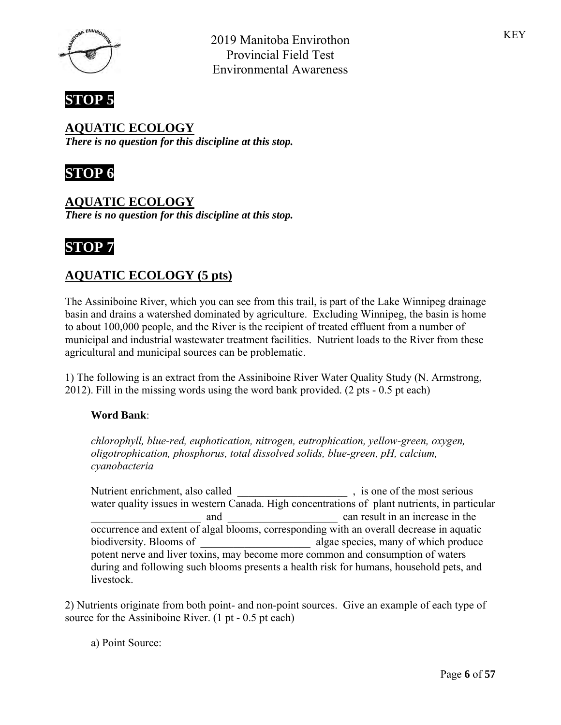



**AQUATIC ECOLOGY** *There is no question for this discipline at this stop.*



**AQUATIC ECOLOGY** *There is no question for this discipline at this stop.*

# **STOP 7**

# **AQUATIC ECOLOGY (5 pts)**

The Assiniboine River, which you can see from this trail, is part of the Lake Winnipeg drainage basin and drains a watershed dominated by agriculture. Excluding Winnipeg, the basin is home to about 100,000 people, and the River is the recipient of treated effluent from a number of municipal and industrial wastewater treatment facilities. Nutrient loads to the River from these agricultural and municipal sources can be problematic.

1) The following is an extract from the Assiniboine River Water Quality Study (N. Armstrong, 2012). Fill in the missing words using the word bank provided. (2 pts - 0.5 pt each)

### **Word Bank**:

*chlorophyll, blue-red, euphotication, nitrogen, eutrophication, yellow-green, oxygen, oligotrophication, phosphorus, total dissolved solids, blue-green, pH, calcium, cyanobacteria*

Nutrient enrichment, also called \_\_\_\_\_\_\_\_\_\_\_\_\_\_\_\_\_\_\_\_ , is one of the most serious water quality issues in western Canada. High concentrations of plant nutrients, in particular and and can result in an increase in the occurrence and extent of algal blooms, corresponding with an overall decrease in aquatic biodiversity. Blooms of  $q$  algae species, many of which produce potent nerve and liver toxins, may become more common and consumption of waters during and following such blooms presents a health risk for humans, household pets, and livestock.

2) Nutrients originate from both point- and non-point sources. Give an example of each type of source for the Assiniboine River. (1 pt - 0.5 pt each)

a) Point Source: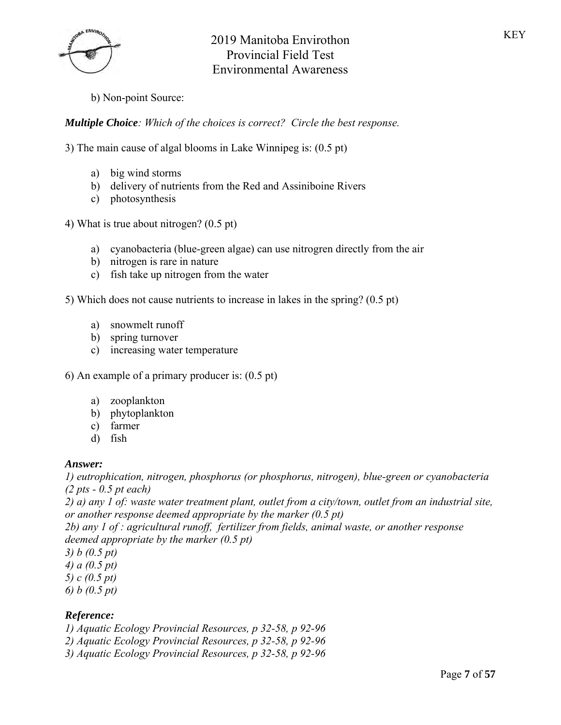KEY



b) Non-point Source:

*Multiple Choice: Which of the choices is correct? Circle the best response.*

3) The main cause of algal blooms in Lake Winnipeg is: (0.5 pt)

- a) big wind storms
- b) delivery of nutrients from the Red and Assiniboine Rivers
- c) photosynthesis

4) What is true about nitrogen? (0.5 pt)

- a) cyanobacteria (blue-green algae) can use nitrogren directly from the air
- b) nitrogen is rare in nature
- c) fish take up nitrogen from the water

5) Which does not cause nutrients to increase in lakes in the spring? (0.5 pt)

- a) snowmelt runoff
- b) spring turnover
- c) increasing water temperature
- 6) An example of a primary producer is: (0.5 pt)
	- a) zooplankton
	- b) phytoplankton
	- c) farmer
	- d) fish

#### *Answer:*

*1) eutrophication, nitrogen, phosphorus (or phosphorus, nitrogen), blue-green or cyanobacteria (2 pts - 0.5 pt each)*

*2) a) any 1 of: waste water treatment plant, outlet from a city/town, outlet from an industrial site, or another response deemed appropriate by the marker (0.5 pt)*

*2b) any 1 of : agricultural runoff, fertilizer from fields, animal waste, or another response deemed appropriate by the marker (0.5 pt)*

*3) b (0.5 pt)*

- *4) a (0.5 pt)*
- *5) c (0.5 pt)*
- *6) b (0.5 pt)*

### *Reference:*

*1) Aquatic Ecology Provincial Resources, p 32-58, p 92-96*

*2) Aquatic Ecology Provincial Resources, p 32-58, p 92-96*

*3) Aquatic Ecology Provincial Resources, p 32-58, p 92-96*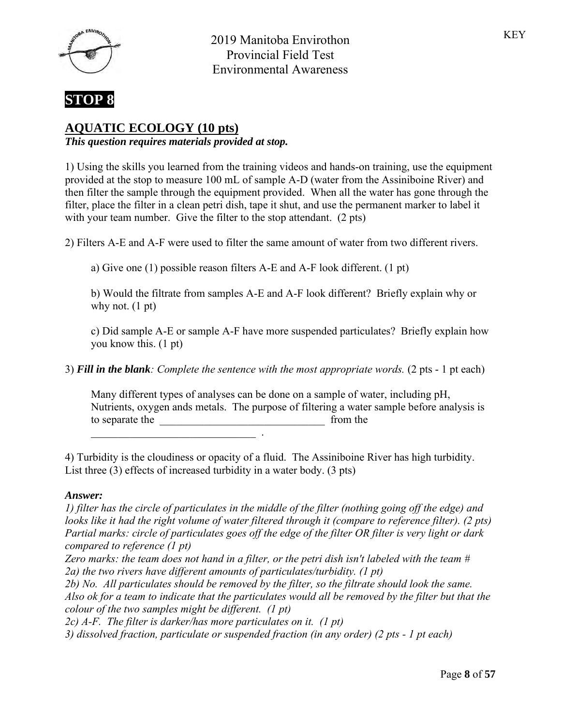



## **AQUATIC ECOLOGY (10 pts)**

*This question requires materials provided at stop.*

1) Using the skills you learned from the training videos and hands-on training, use the equipment provided at the stop to measure 100 mL of sample A-D (water from the Assiniboine River) and then filter the sample through the equipment provided. When all the water has gone through the filter, place the filter in a clean petri dish, tape it shut, and use the permanent marker to label it with your team number. Give the filter to the stop attendant. (2 pts)

2) Filters A-E and A-F were used to filter the same amount of water from two different rivers.

a) Give one (1) possible reason filters A-E and A-F look different. (1 pt)

b) Would the filtrate from samples A-E and A-F look different? Briefly explain why or why not.  $(1 \text{ pt})$ 

c) Did sample A-E or sample A-F have more suspended particulates? Briefly explain how you know this. (1 pt)

3) *Fill in the blank: Complete the sentence with the most appropriate words.* (2 pts - 1 pt each)

Many different types of analyses can be done on a sample of water, including pH, Nutrients, oxygen ands metals. The purpose of filtering a water sample before analysis is to separate the to separate the separate the separate the separate the separate of  $\mathbb{R}^n$ \_\_\_\_\_\_\_\_\_\_\_\_\_\_\_\_\_\_\_\_\_\_\_\_\_\_\_\_\_\_ .

4) Turbidity is the cloudiness or opacity of a fluid. The Assiniboine River has high turbidity. List three (3) effects of increased turbidity in a water body. (3 pts)

### *Answer:*

*1) filter has the circle of particulates in the middle of the filter (nothing going off the edge) and looks like it had the right volume of water filtered through it (compare to reference filter). (2 pts) Partial marks: circle of particulates goes off the edge of the filter OR filter is very light or dark compared to reference (1 pt)*

*Zero marks: the team does not hand in a filter, or the petri dish isn't labeled with the team # 2a) the two rivers have different amounts of particulates/turbidity. (1 pt)*

*2b) No. All particulates should be removed by the filter, so the filtrate should look the same. Also ok for a team to indicate that the particulates would all be removed by the filter but that the colour of the two samples might be different. (1 pt)*

*2c) A-F. The filter is darker/has more particulates on it. (1 pt) 3) dissolved fraction, particulate or suspended fraction (in any order) (2 pts - 1 pt each)*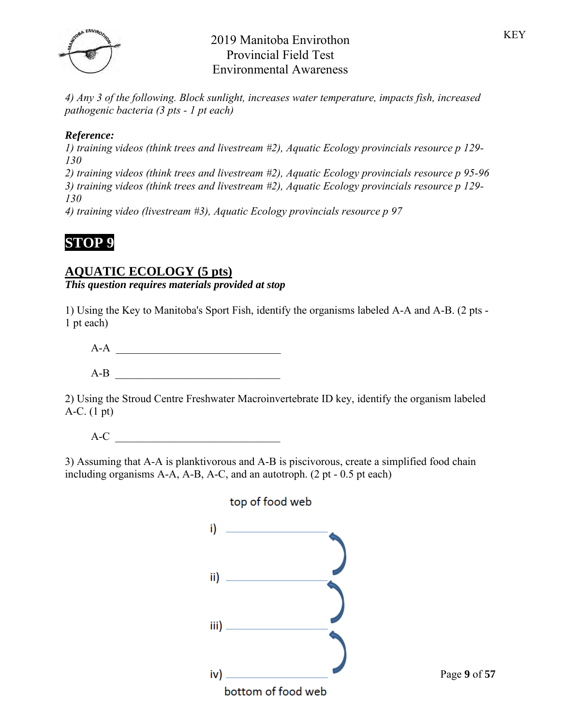

*4) Any 3 of the following. Block sunlight, increases water temperature, impacts fish, increased pathogenic bacteria (3 pts - 1 pt each)*

## *Reference:*

*1) training videos (think trees and livestream #2), Aquatic Ecology provincials resource p 129- 130*

*2) training videos (think trees and livestream #2), Aquatic Ecology provincials resource p 95-96 3) training videos (think trees and livestream #2), Aquatic Ecology provincials resource p 129- 130*

*4) training video (livestream #3), Aquatic Ecology provincials resource p 97*

# **STOP 9**

## **AQUATIC ECOLOGY (5 pts)**

*This question requires materials provided at stop*

1) Using the Key to Manitoba's Sport Fish, identify the organisms labeled A-A and A-B. (2 pts - 1 pt each)

 $A-A$  $A-B$   $\qquad \qquad \qquad$ 

2) Using the Stroud Centre Freshwater Macroinvertebrate ID key, identify the organism labeled A-C. (1 pt)

 $A-C$ 

3) Assuming that A-A is planktivorous and A-B is piscivorous, create a simplified food chain including organisms A-A, A-B, A-C, and an autotroph. (2 pt - 0.5 pt each)

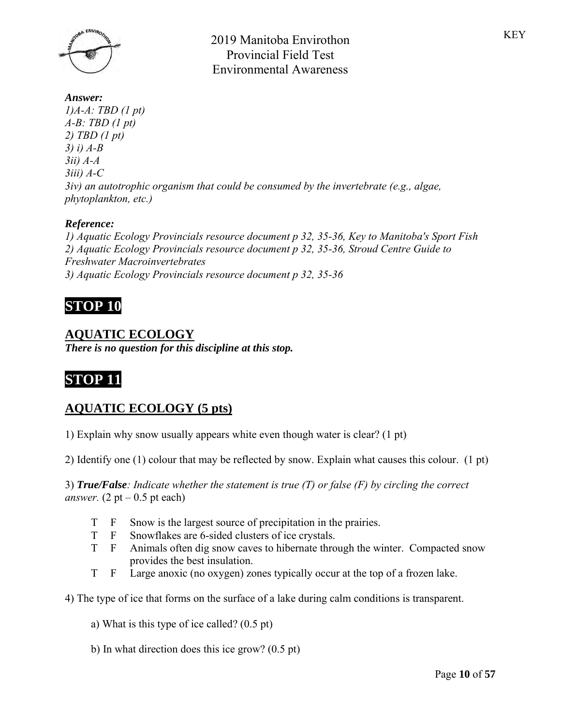

*Answer: 1)A-A: TBD (1 pt) A-B: TBD (1 pt) 2) TBD (1 pt) 3) i) A-B 3ii) A-A 3iii) A-C 3iv) an autotrophic organism that could be consumed by the invertebrate (e.g., algae, phytoplankton, etc.)*

## *Reference:*

*1) Aquatic Ecology Provincials resource document p 32, 35-36, Key to Manitoba's Sport Fish 2) Aquatic Ecology Provincials resource document p 32, 35-36, Stroud Centre Guide to Freshwater Macroinvertebrates 3) Aquatic Ecology Provincials resource document p 32, 35-36*

# **STOP 10**

## **AQUATIC ECOLOGY**

*There is no question for this discipline at this stop.*

# **STOP 11**

# **AQUATIC ECOLOGY (5 pts)**

1) Explain why snow usually appears white even though water is clear? (1 pt)

2) Identify one (1) colour that may be reflected by snow. Explain what causes this colour. (1 pt)

3) *True/False: Indicate whether the statement is true (T) or false (F) by circling the correct answer.*  $(2 pt – 0.5 pt each)$ 

- T F Snow is the largest source of precipitation in the prairies.
- T F Snowflakes are 6-sided clusters of ice crystals.
- T F Animals often dig snow caves to hibernate through the winter. Compacted snow provides the best insulation.
- T F Large anoxic (no oxygen) zones typically occur at the top of a frozen lake.

4) The type of ice that forms on the surface of a lake during calm conditions is transparent.

- a) What is this type of ice called? (0.5 pt)
- b) In what direction does this ice grow? (0.5 pt)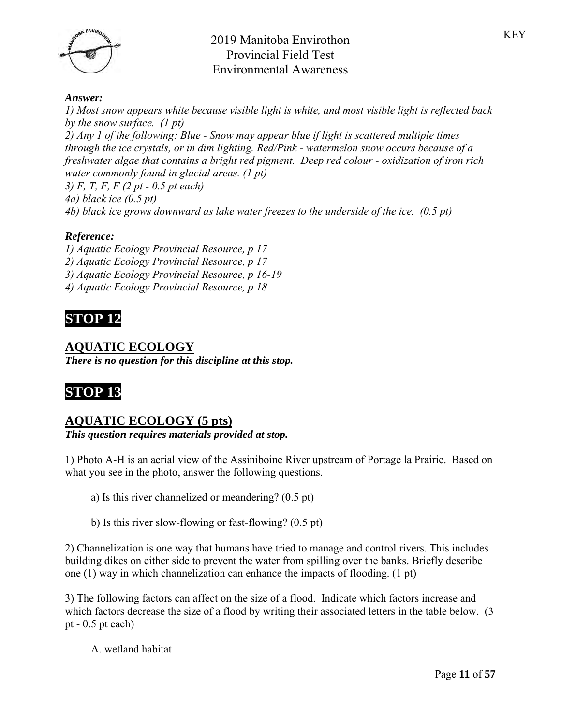

#### *Answer:*

*1) Most snow appears white because visible light is white, and most visible light is reflected back by the snow surface. (1 pt) 2) Any 1 of the following: Blue - Snow may appear blue if light is scattered multiple times through the ice crystals, or in dim lighting. Red/Pink - watermelon snow occurs because of a freshwater algae that contains a bright red pigment. Deep red colour - oxidization of iron rich water commonly found in glacial areas. (1 pt) 3) F, T, F, F (2 pt - 0.5 pt each) 4a) black ice (0.5 pt) 4b) black ice grows downward as lake water freezes to the underside of the ice. (0.5 pt)*

### *Reference:*

*1) Aquatic Ecology Provincial Resource, p 17 2) Aquatic Ecology Provincial Resource, p 17 3) Aquatic Ecology Provincial Resource, p 16-19 4) Aquatic Ecology Provincial Resource, p 18*

# **STOP 12**

### **AQUATIC ECOLOGY**

*There is no question for this discipline at this stop.*

# **STOP 13**

### **AQUATIC ECOLOGY (5 pts)**

*This question requires materials provided at stop.*

1) Photo A-H is an aerial view of the Assiniboine River upstream of Portage la Prairie. Based on what you see in the photo, answer the following questions.

a) Is this river channelized or meandering? (0.5 pt)

b) Is this river slow-flowing or fast-flowing? (0.5 pt)

2) Channelization is one way that humans have tried to manage and control rivers. This includes building dikes on either side to prevent the water from spilling over the banks. Briefly describe one (1) way in which channelization can enhance the impacts of flooding. (1 pt)

3) The following factors can affect on the size of a flood. Indicate which factors increase and which factors decrease the size of a flood by writing their associated letters in the table below. (3) pt - 0.5 pt each)

A. wetland habitat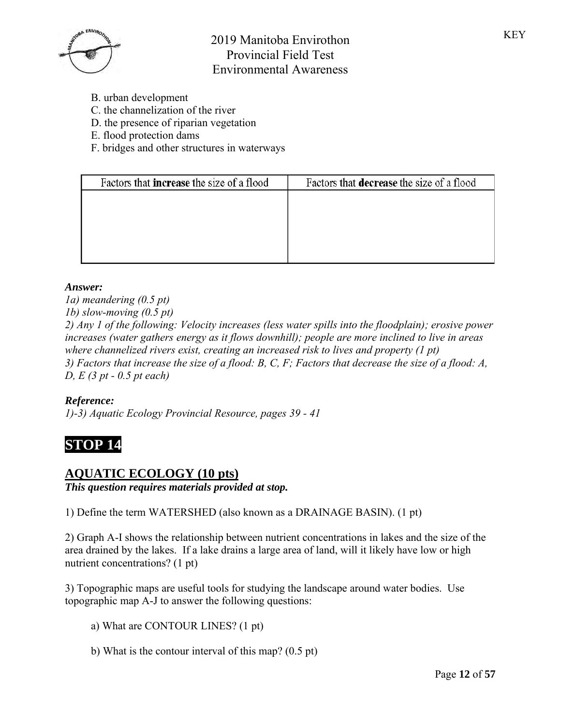

- B. urban development
- C. the channelization of the river
- D. the presence of riparian vegetation
- E. flood protection dams
- F. bridges and other structures in waterways

| Factors that <b>increase</b> the size of a flood | Factors that decrease the size of a flood |
|--------------------------------------------------|-------------------------------------------|
|                                                  |                                           |
|                                                  |                                           |
|                                                  |                                           |
|                                                  |                                           |

### *Answer:*

*1a) meandering (0.5 pt) 1b) slow-moving (0.5 pt) 2) Any 1 of the following: Velocity increases (less water spills into the floodplain); erosive power increases (water gathers energy as it flows downhill); people are more inclined to live in areas where channelized rivers exist, creating an increased risk to lives and property (1 pt) 3) Factors that increase the size of a flood: B, C, F; Factors that decrease the size of a flood: A, D, E (3 pt - 0.5 pt each)*

### *Reference:*

*1)-3) Aquatic Ecology Provincial Resource, pages 39 - 41*

# **STOP 14**

## **AQUATIC ECOLOGY (10 pts)**

*This question requires materials provided at stop.*

1) Define the term WATERSHED (also known as a DRAINAGE BASIN). (1 pt)

2) Graph A-I shows the relationship between nutrient concentrations in lakes and the size of the area drained by the lakes. If a lake drains a large area of land, will it likely have low or high nutrient concentrations? (1 pt)

3) Topographic maps are useful tools for studying the landscape around water bodies. Use topographic map A-J to answer the following questions:

- a) What are CONTOUR LINES? (1 pt)
- b) What is the contour interval of this map? (0.5 pt)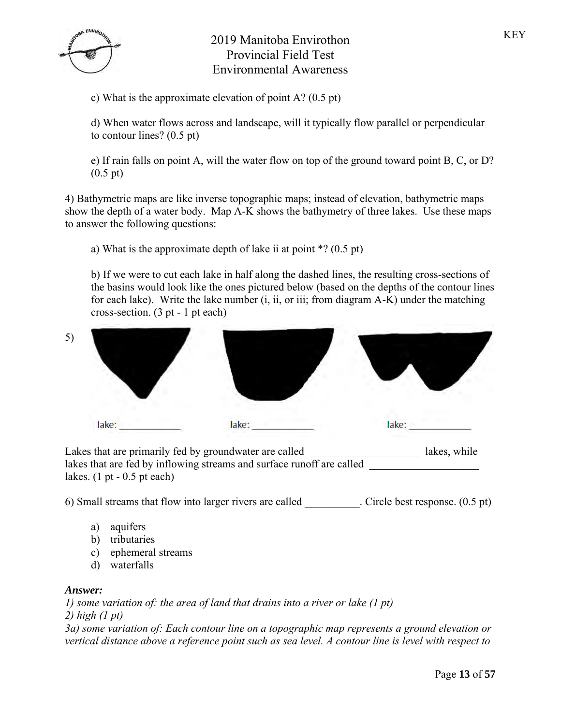c) What is the approximate elevation of point A? (0.5 pt)

d) When water flows across and landscape, will it typically flow parallel or perpendicular to contour lines? (0.5 pt)

e) If rain falls on point A, will the water flow on top of the ground toward point B, C, or D? (0.5 pt)

4) Bathymetric maps are like inverse topographic maps; instead of elevation, bathymetric maps show the depth of a water body. Map A-K shows the bathymetry of three lakes. Use these maps to answer the following questions:

a) What is the approximate depth of lake ii at point \*? (0.5 pt)

b) If we were to cut each lake in half along the dashed lines, the resulting cross-sections of the basins would look like the ones pictured below (based on the depths of the contour lines for each lake). Write the lake number (i, ii, or iii; from diagram A-K) under the matching cross-section. (3 pt - 1 pt each)



Lakes that are primarily fed by groundwater are called lakes, while lakes that are fed by inflowing streams and surface runoff are called lakes.  $(1 \text{ pt} - 0.5 \text{ pt} \text{ each})$ 

6) Small streams that flow into larger rivers are called . Circle best response. (0.5 pt)

- a) aquifers
- b) tributaries
- c) ephemeral streams
- d) waterfalls

### *Answer:*

*1) some variation of: the area of land that drains into a river or lake (1 pt)*

*2) high (1 pt)*

*3a) some variation of: Each contour line on a topographic map represents a ground elevation or vertical distance above a reference point such as sea level. A contour line is level with respect to*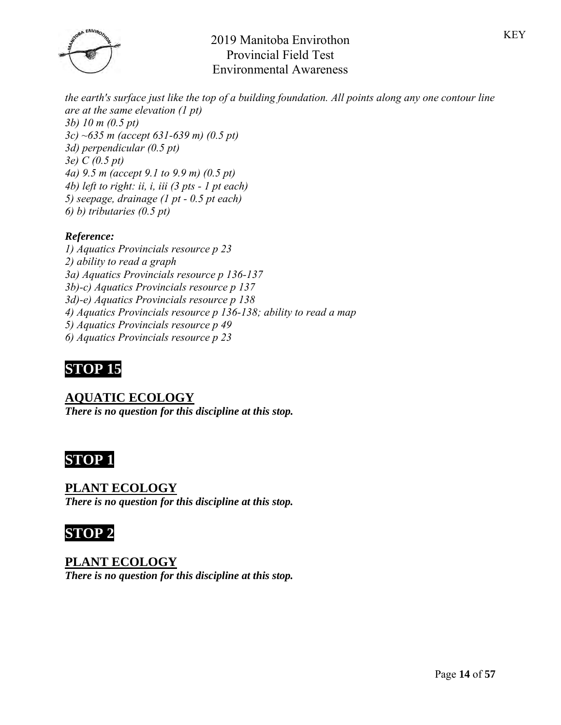

*the earth's surface just like the top of a building foundation. All points along any one contour line are at the same elevation (1 pt) 3b) 10 m (0.5 pt) 3c) ~635 m (accept 631-639 m) (0.5 pt) 3d) perpendicular (0.5 pt) 3e) C (0.5 pt) 4a) 9.5 m (accept 9.1 to 9.9 m) (0.5 pt) 4b) left to right: ii, i, iii (3 pts - 1 pt each) 5) seepage, drainage (1 pt - 0.5 pt each) 6) b) tributaries (0.5 pt)*

## *Reference:*

*1) Aquatics Provincials resource p 23 2) ability to read a graph 3a) Aquatics Provincials resource p 136-137 3b)-c) Aquatics Provincials resource p 137 3d)-e) Aquatics Provincials resource p 138 4) Aquatics Provincials resource p 136-138; ability to read a map 5) Aquatics Provincials resource p 49 6) Aquatics Provincials resource p 23*

# **STOP 15**

**AQUATIC ECOLOGY** *There is no question for this discipline at this stop.*



## **PLANT ECOLOGY**

*There is no question for this discipline at this stop.*

**STOP 2**

**PLANT ECOLOGY** *There is no question for this discipline at this stop.*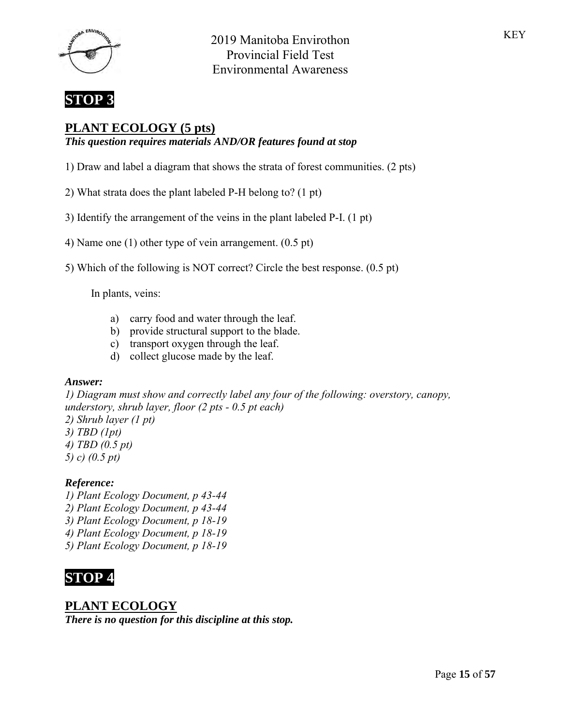



## **PLANT ECOLOGY (5 pts)**

*This question requires materials AND/OR features found at stop*

1) Draw and label a diagram that shows the strata of forest communities. (2 pts)

2) What strata does the plant labeled P-H belong to? (1 pt)

- 3) Identify the arrangement of the veins in the plant labeled P-I. (1 pt)
- 4) Name one (1) other type of vein arrangement. (0.5 pt)
- 5) Which of the following is NOT correct? Circle the best response. (0.5 pt)

In plants, veins:

- a) carry food and water through the leaf.
- b) provide structural support to the blade.
- c) transport oxygen through the leaf.
- d) collect glucose made by the leaf.

#### *Answer:*

*1) Diagram must show and correctly label any four of the following: overstory, canopy, understory, shrub layer, floor (2 pts - 0.5 pt each) 2) Shrub layer (1 pt) 3) TBD (1pt)*

- *4) TBD (0.5 pt)*
- *5) c) (0.5 pt)*

### *Reference:*

*1) Plant Ecology Document, p 43-44 2) Plant Ecology Document, p 43-44 3) Plant Ecology Document, p 18-19 4) Plant Ecology Document, p 18-19 5) Plant Ecology Document, p 18-19*

# **STOP 4**

## **PLANT ECOLOGY**

*There is no question for this discipline at this stop.*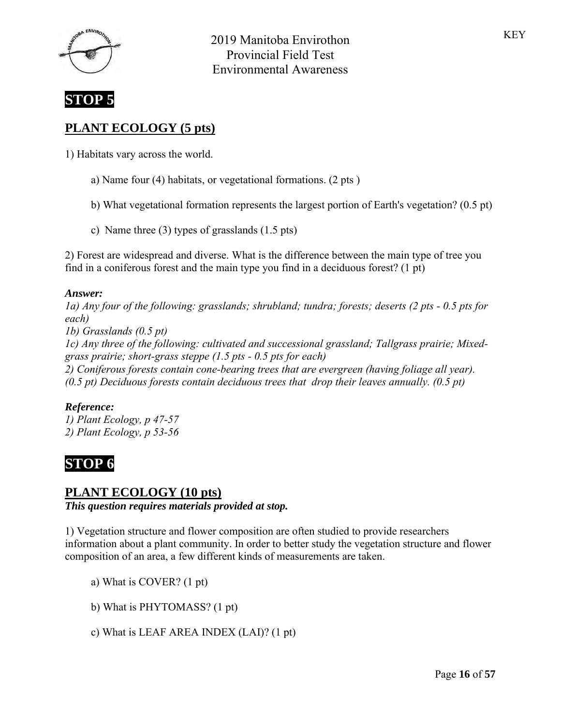



# **PLANT ECOLOGY (5 pts)**

1) Habitats vary across the world.

- a) Name four (4) habitats, or vegetational formations. (2 pts )
- b) What vegetational formation represents the largest portion of Earth's vegetation? (0.5 pt)
- c) Name three (3) types of grasslands (1.5 pts)

2) Forest are widespread and diverse. What is the difference between the main type of tree you find in a coniferous forest and the main type you find in a deciduous forest? (1 pt)

#### *Answer:*

*1a) Any four of the following: grasslands; shrubland; tundra; forests; deserts (2 pts - 0.5 pts for each) 1b) Grasslands (0.5 pt) 1c) Any three of the following: cultivated and successional grassland; Tallgrass prairie; Mixedgrass prairie; short-grass steppe (1.5 pts - 0.5 pts for each) 2) Coniferous forests contain cone-bearing trees that are evergreen (having foliage all year). (0.5 pt) Deciduous forests contain deciduous trees that drop their leaves annually. (0.5 pt)*

### *Reference:*

*1) Plant Ecology, p 47-57 2) Plant Ecology, p 53-56*

# **STOP 6**

## **PLANT ECOLOGY (10 pts)**

*This question requires materials provided at stop.*

1) Vegetation structure and flower composition are often studied to provide researchers information about a plant community. In order to better study the vegetation structure and flower composition of an area, a few different kinds of measurements are taken.

- a) What is COVER? (1 pt)
- b) What is PHYTOMASS? (1 pt)
- c) What is LEAF AREA INDEX (LAI)? (1 pt)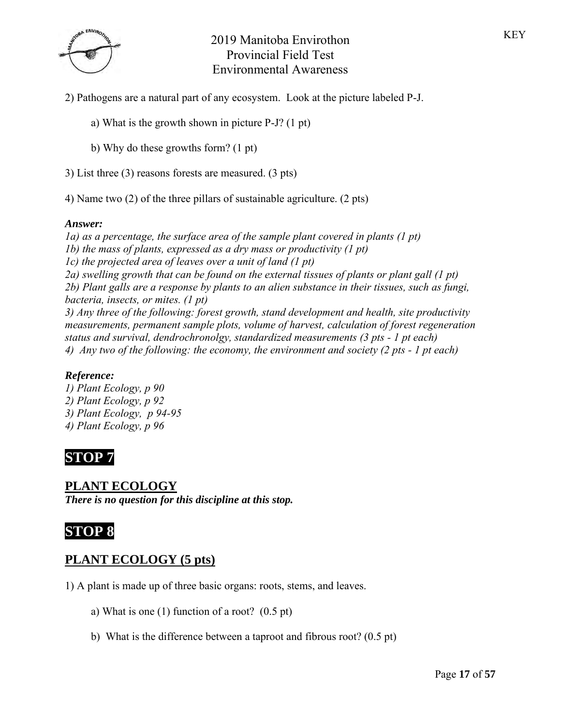

- 2) Pathogens are a natural part of any ecosystem. Look at the picture labeled P-J.
	- a) What is the growth shown in picture P-J? (1 pt)
	- b) Why do these growths form? (1 pt)
- 3) List three (3) reasons forests are measured. (3 pts)

4) Name two (2) of the three pillars of sustainable agriculture. (2 pts)

#### *Answer:*

*1a) as a percentage, the surface area of the sample plant covered in plants (1 pt) 1b) the mass of plants, expressed as a dry mass or productivity (1 pt) 1c) the projected area of leaves over a unit of land (1 pt) 2a) swelling growth that can be found on the external tissues of plants or plant gall (1 pt) 2b) Plant galls are a response by plants to an alien substance in their tissues, such as fungi, bacteria, insects, or mites. (1 pt) 3) Any three of the following: forest growth, stand development and health, site productivity measurements, permanent sample plots, volume of harvest, calculation of forest regeneration status and survival, dendrochronolgy, standardized measurements (3 pts - 1 pt each) 4) Any two of the following: the economy, the environment and society (2 pts - 1 pt each)*

### *Reference:*

*1) Plant Ecology, p 90 2) Plant Ecology, p 92 3) Plant Ecology, p 94-95 4) Plant Ecology, p 96*

# **STOP 7**

### **PLANT ECOLOGY**

*There is no question for this discipline at this stop.*

# **STOP 8**

## **PLANT ECOLOGY (5 pts)**

- 1) A plant is made up of three basic organs: roots, stems, and leaves.
	- a) What is one (1) function of a root? (0.5 pt)
	- b) What is the difference between a taproot and fibrous root? (0.5 pt)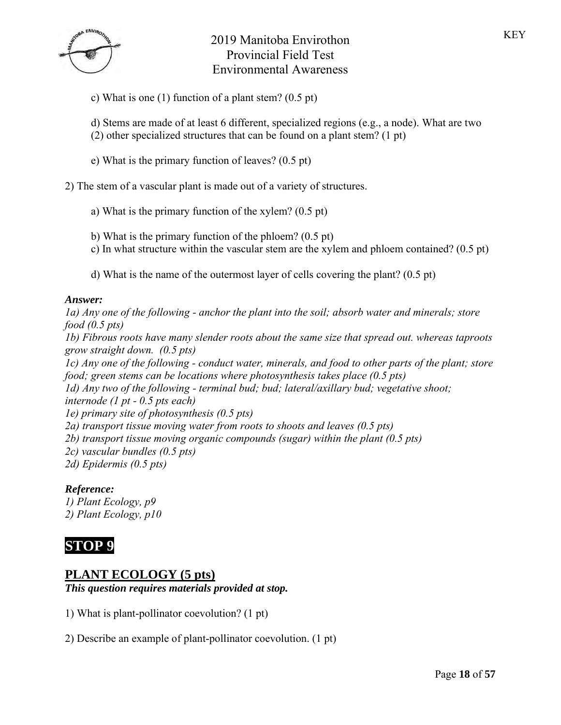

c) What is one (1) function of a plant stem? (0.5 pt)

d) Stems are made of at least 6 different, specialized regions (e.g., a node). What are two (2) other specialized structures that can be found on a plant stem? (1 pt)

e) What is the primary function of leaves? (0.5 pt)

2) The stem of a vascular plant is made out of a variety of structures.

- a) What is the primary function of the xylem? (0.5 pt)
- b) What is the primary function of the phloem? (0.5 pt)
- c) In what structure within the vascular stem are the xylem and phloem contained? (0.5 pt)
- d) What is the name of the outermost layer of cells covering the plant? (0.5 pt)

#### *Answer:*

*1a) Any one of the following - anchor the plant into the soil; absorb water and minerals; store food (0.5 pts) 1b) Fibrous roots have many slender roots about the same size that spread out. whereas taproots grow straight down. (0.5 pts) 1c) Any one of the following - conduct water, minerals, and food to other parts of the plant; store food; green stems can be locations where photosynthesis takes place (0.5 pts) 1d) Any two of the following - terminal bud; bud; lateral/axillary bud; vegetative shoot; internode (1 pt - 0.5 pts each) 1e) primary site of photosynthesis (0.5 pts) 2a) transport tissue moving water from roots to shoots and leaves (0.5 pts) 2b) transport tissue moving organic compounds (sugar) within the plant (0.5 pts) 2c) vascular bundles (0.5 pts) 2d) Epidermis (0.5 pts)*

### *Reference:*

*1) Plant Ecology, p9 2) Plant Ecology, p10*

# **STOP 9**

## **PLANT ECOLOGY (5 pts)**

*This question requires materials provided at stop.*

1) What is plant-pollinator coevolution? (1 pt)

2) Describe an example of plant-pollinator coevolution. (1 pt)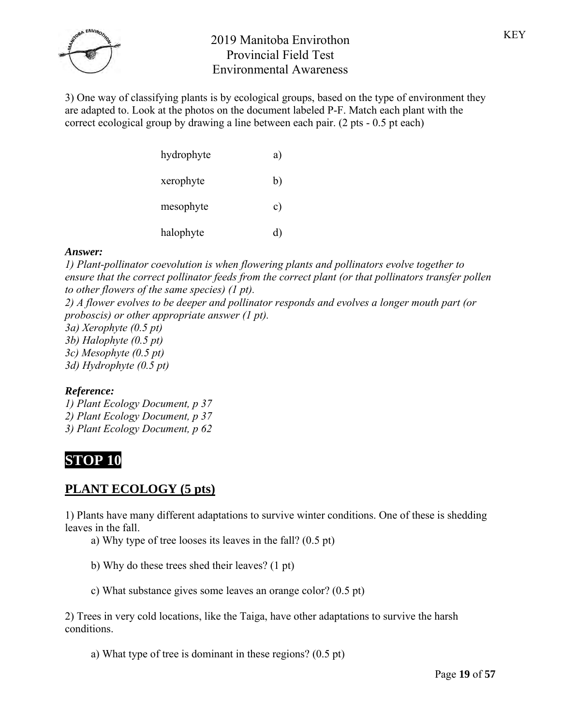

3) One way of classifying plants is by ecological groups, based on the type of environment they are adapted to. Look at the photos on the document labeled P-F. Match each plant with the correct ecological group by drawing a line between each pair. (2 pts - 0.5 pt each)

| hydrophyte | a) |
|------------|----|
| xerophyte  | b) |
| mesophyte  | c) |
| halophyte  | d) |

### *Answer:*

*1) Plant-pollinator coevolution is when flowering plants and pollinators evolve together to ensure that the correct pollinator feeds from the correct plant (or that pollinators transfer pollen to other flowers of the same species) (1 pt).*

*2) A flower evolves to be deeper and pollinator responds and evolves a longer mouth part (or proboscis) or other appropriate answer (1 pt).*

- *3a) Xerophyte (0.5 pt)*
- *3b) Halophyte (0.5 pt)*
- *3c) Mesophyte (0.5 pt)*
- *3d) Hydrophyte (0.5 pt)*

## *Reference:*

*1) Plant Ecology Document, p 37 2) Plant Ecology Document, p 37 3) Plant Ecology Document, p 62*

# **STOP 10**

# **PLANT ECOLOGY (5 pts)**

1) Plants have many different adaptations to survive winter conditions. One of these is shedding leaves in the fall.

- a) Why type of tree looses its leaves in the fall? (0.5 pt)
- b) Why do these trees shed their leaves? (1 pt)
- c) What substance gives some leaves an orange color? (0.5 pt)

2) Trees in very cold locations, like the Taiga, have other adaptations to survive the harsh conditions.

a) What type of tree is dominant in these regions? (0.5 pt)

Page **19** of **57**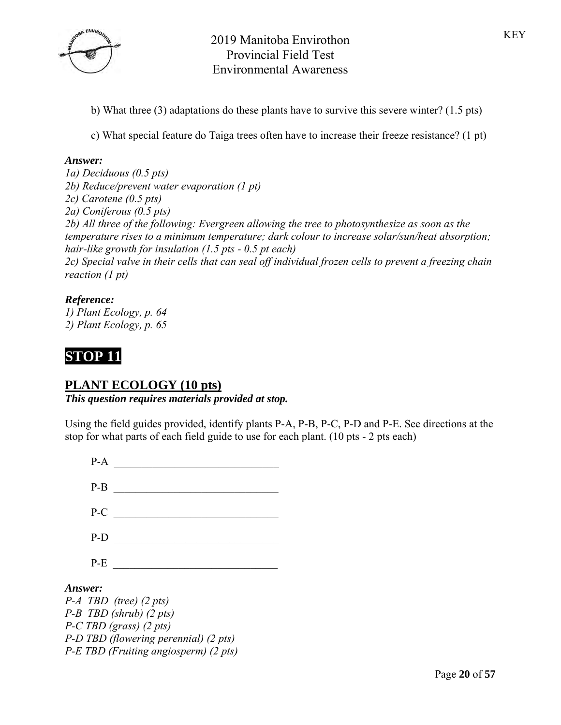

- b) What three (3) adaptations do these plants have to survive this severe winter? (1.5 pts)
- c) What special feature do Taiga trees often have to increase their freeze resistance? (1 pt)

#### *Answer:*

*1a) Deciduous (0.5 pts) 2b) Reduce/prevent water evaporation (1 pt) 2c) Carotene (0.5 pts) 2a) Coniferous (0.5 pts) 2b) All three of the following: Evergreen allowing the tree to photosynthesize as soon as the temperature rises to a minimum temperature; dark colour to increase solar/sun/heat absorption; hair-like growth for insulation (1.5 pts - 0.5 pt each) 2c) Special valve in their cells that can seal off individual frozen cells to prevent a freezing chain reaction (1 pt)*

### *Reference:*

*1) Plant Ecology, p. 64 2) Plant Ecology, p. 65*



### **PLANT ECOLOGY (10 pts)**

*This question requires materials provided at stop.*

Using the field guides provided, identify plants P-A, P-B, P-C, P-D and P-E. See directions at the stop for what parts of each field guide to use for each plant. (10 pts - 2 pts each)

| $P-A$   |                               |
|---------|-------------------------------|
| $P-B$   |                               |
| $P-C$   |                               |
| $P-D$   |                               |
| $P-E$   |                               |
| Answer: | $P-A$ TBD (tree) $(2 \, pts)$ |
|         | $P-B$ TBD (shrub) (2 pts)     |

*P-B P-C TBD (grass) (2 pts) P-D TBD (flowering perennial) (2 pts) P-E TBD (Fruiting angiosperm) (2 pts)*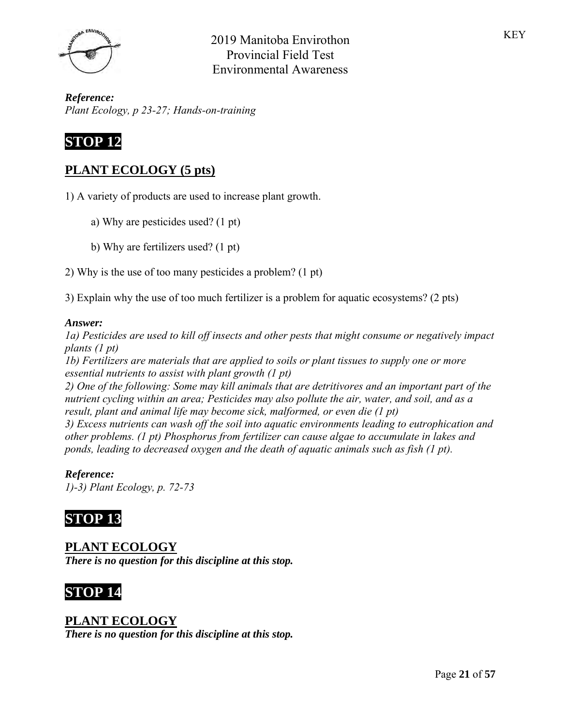

*Reference: Plant Ecology, p 23-27; Hands-on-training*

# **STOP 12**

# **PLANT ECOLOGY (5 pts)**

1) A variety of products are used to increase plant growth.

- a) Why are pesticides used? (1 pt)
- b) Why are fertilizers used? (1 pt)
- 2) Why is the use of too many pesticides a problem? (1 pt)
- 3) Explain why the use of too much fertilizer is a problem for aquatic ecosystems? (2 pts)

### *Answer:*

*1a) Pesticides are used to kill off insects and other pests that might consume or negatively impact plants (1 pt)*

*1b) Fertilizers are materials that are applied to soils or plant tissues to supply one or more essential nutrients to assist with plant growth (1 pt)*

*2) One of the following: Some may kill animals that are detritivores and an important part of the nutrient cycling within an area; Pesticides may also pollute the air, water, and soil, and as a result, plant and animal life may become sick, malformed, or even die (1 pt)*

*3) Excess nutrients can wash off the soil into aquatic environments leading to eutrophication and other problems. (1 pt) Phosphorus from fertilizer can cause algae to accumulate in lakes and ponds, leading to decreased oxygen and the death of aquatic animals such as fish (1 pt).*

## *Reference:*

*1)-3) Plant Ecology, p. 72-73*

# **STOP 13**

# **PLANT ECOLOGY**

*There is no question for this discipline at this stop.*

# **STOP 14**

## **PLANT ECOLOGY**

*There is no question for this discipline at this stop.*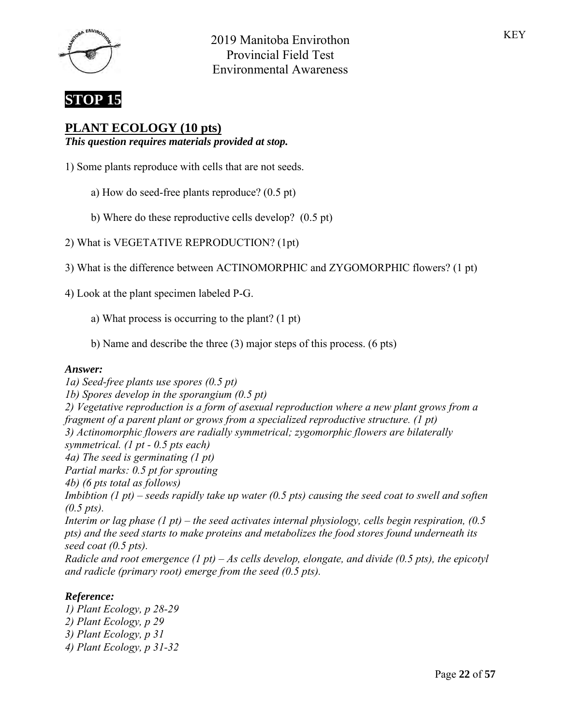



## **PLANT ECOLOGY (10 pts)**

*This question requires materials provided at stop.*

- 1) Some plants reproduce with cells that are not seeds.
	- a) How do seed-free plants reproduce? (0.5 pt)
	- b) Where do these reproductive cells develop? (0.5 pt)
- 2) What is VEGETATIVE REPRODUCTION? (1pt)
- 3) What is the difference between ACTINOMORPHIC and ZYGOMORPHIC flowers? (1 pt)
- 4) Look at the plant specimen labeled P-G.
	- a) What process is occurring to the plant? (1 pt)
	- b) Name and describe the three (3) major steps of this process. (6 pts)

#### *Answer:*

*1a) Seed-free plants use spores (0.5 pt) 1b) Spores develop in the sporangium (0.5 pt) 2) Vegetative reproduction is a form of asexual reproduction where a new plant grows from a fragment of a parent plant or grows from a specialized reproductive structure. (1 pt) 3) Actinomorphic flowers are radially symmetrical; zygomorphic flowers are bilaterally symmetrical. (1 pt - 0.5 pts each) 4a) The seed is germinating (1 pt) Partial marks: 0.5 pt for sprouting 4b) (6 pts total as follows) Imbibtion (1 pt) – seeds rapidly take up water (0.5 pts) causing the seed coat to swell and soften (0.5 pts). Interim or lag phase (1 pt) – the seed activates internal physiology, cells begin respiration, (0.5 pts) and the seed starts to make proteins and metabolizes the food stores found underneath its seed coat (0.5 pts). Radicle and root emergence (1 pt) – As cells develop, elongate, and divide (0.5 pts), the epicotyl and radicle (primary root) emerge from the seed (0.5 pts).*

### *Reference:*

*1) Plant Ecology, p 28-29 2) Plant Ecology, p 29 3) Plant Ecology, p 31 4) Plant Ecology, p 31-32*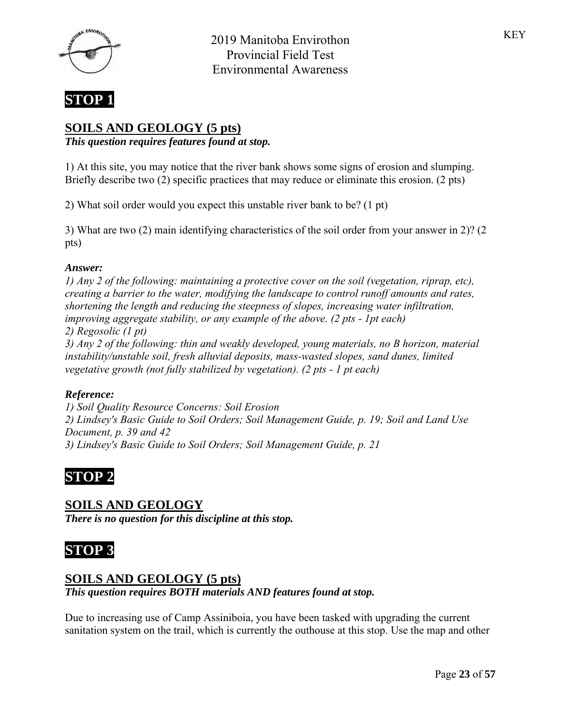



# **SOILS AND GEOLOGY (5 pts)**

*This question requires features found at stop.*

1) At this site, you may notice that the river bank shows some signs of erosion and slumping. Briefly describe two (2) specific practices that may reduce or eliminate this erosion. (2 pts)

2) What soil order would you expect this unstable river bank to be? (1 pt)

3) What are two (2) main identifying characteristics of the soil order from your answer in 2)? (2 pts)

### *Answer:*

*1) Any 2 of the following: maintaining a protective cover on the soil (vegetation, riprap, etc), creating a barrier to the water, modifying the landscape to control runoff amounts and rates, shortening the length and reducing the steepness of slopes, increasing water infiltration, improving aggregate stability, or any example of the above. (2 pts - 1pt each) 2) Regosolic (1 pt) 3) Any 2 of the following: thin and weakly developed, young materials, no B horizon, material instability/unstable soil, fresh alluvial deposits, mass-wasted slopes, sand dunes, limited vegetative growth (not fully stabilized by vegetation). (2 pts - 1 pt each)*

### *Reference:*

*1) Soil Quality Resource Concerns: Soil Erosion 2) Lindsey's Basic Guide to Soil Orders; Soil Management Guide, p. 19; Soil and Land Use Document, p. 39 and 42 3) Lindsey's Basic Guide to Soil Orders; Soil Management Guide, p. 21*

# **STOP 2**

## **SOILS AND GEOLOGY**

*There is no question for this discipline at this stop.*

# **STOP 3**

## **SOILS AND GEOLOGY (5 pts)**

*This question requires BOTH materials AND features found at stop.*

Due to increasing use of Camp Assiniboia, you have been tasked with upgrading the current sanitation system on the trail, which is currently the outhouse at this stop. Use the map and other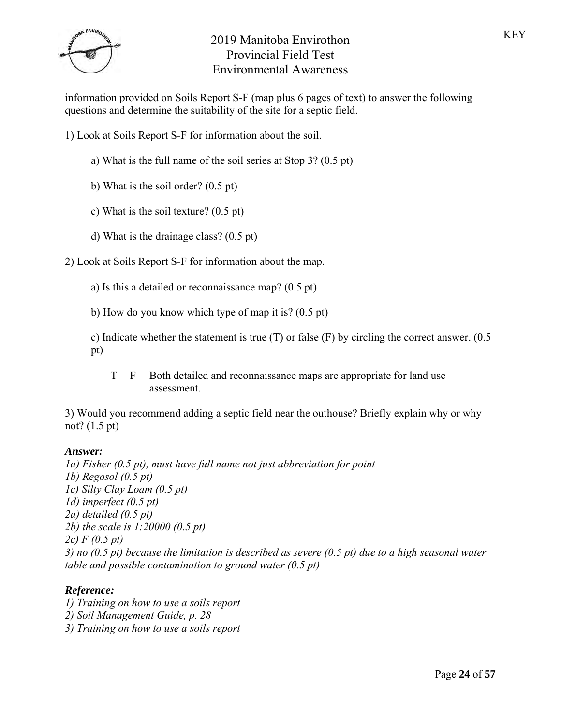

information provided on Soils Report S-F (map plus 6 pages of text) to answer the following questions and determine the suitability of the site for a septic field.

1) Look at Soils Report S-F for information about the soil.

- a) What is the full name of the soil series at Stop 3? (0.5 pt)
- b) What is the soil order? (0.5 pt)
- c) What is the soil texture? (0.5 pt)
- d) What is the drainage class? (0.5 pt)

2) Look at Soils Report S-F for information about the map.

a) Is this a detailed or reconnaissance map? (0.5 pt)

b) How do you know which type of map it is? (0.5 pt)

c) Indicate whether the statement is true  $(T)$  or false  $(F)$  by circling the correct answer.  $(0.5)$ pt)

T F Both detailed and reconnaissance maps are appropriate for land use assessment.

3) Would you recommend adding a septic field near the outhouse? Briefly explain why or why not? (1.5 pt)

### *Answer:*

*1a) Fisher (0.5 pt), must have full name not just abbreviation for point 1b) Regosol (0.5 pt) 1c) Silty Clay Loam (0.5 pt) 1d) imperfect (0.5 pt) 2a) detailed (0.5 pt) 2b) the scale is 1:20000 (0.5 pt) 2c) F (0.5 pt) 3) no (0.5 pt) because the limitation is described as severe (0.5 pt) due to a high seasonal water table and possible contamination to ground water (0.5 pt)*

### *Reference:*

*1) Training on how to use a soils report 2) Soil Management Guide, p. 28 3) Training on how to use a soils report*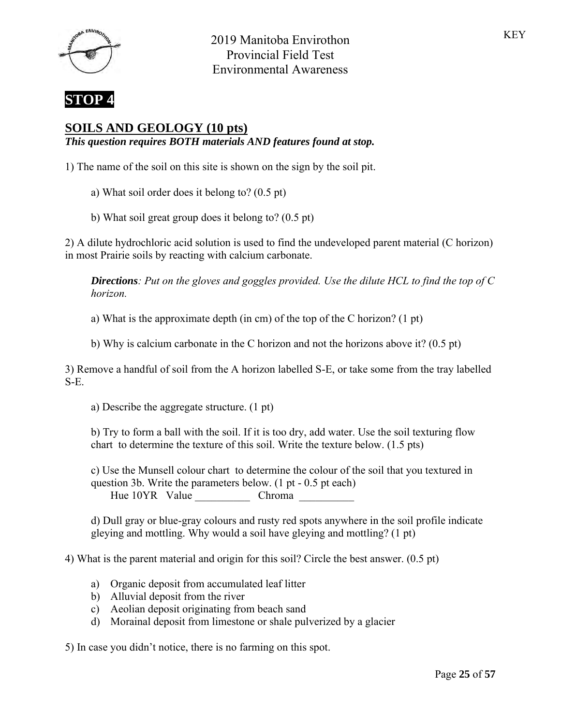



## **SOILS AND GEOLOGY (10 pts)**

*This question requires BOTH materials AND features found at stop.*

1) The name of the soil on this site is shown on the sign by the soil pit.

- a) What soil order does it belong to? (0.5 pt)
- b) What soil great group does it belong to? (0.5 pt)

2) A dilute hydrochloric acid solution is used to find the undeveloped parent material (C horizon) in most Prairie soils by reacting with calcium carbonate.

*Directions: Put on the gloves and goggles provided. Use the dilute HCL to find the top of C horizon.*

a) What is the approximate depth (in cm) of the top of the C horizon? (1 pt)

b) Why is calcium carbonate in the C horizon and not the horizons above it? (0.5 pt)

3) Remove a handful of soil from the A horizon labelled S-E, or take some from the tray labelled S-E.

a) Describe the aggregate structure. (1 pt)

b) Try to form a ball with the soil. If it is too dry, add water. Use the soil texturing flow chart to determine the texture of this soil. Write the texture below. (1.5 pts)

c) Use the Munsell colour chart to determine the colour of the soil that you textured in question 3b. Write the parameters below. (1 pt - 0.5 pt each) Hue 10YR Value Chroma

d) Dull gray or blue-gray colours and rusty red spots anywhere in the soil profile indicate gleying and mottling. Why would a soil have gleying and mottling? (1 pt)

4) What is the parent material and origin for this soil? Circle the best answer. (0.5 pt)

- a) Organic deposit from accumulated leaf litter
- b) Alluvial deposit from the river
- c) Aeolian deposit originating from beach sand
- d) Morainal deposit from limestone or shale pulverized by a glacier

5) In case you didn't notice, there is no farming on this spot.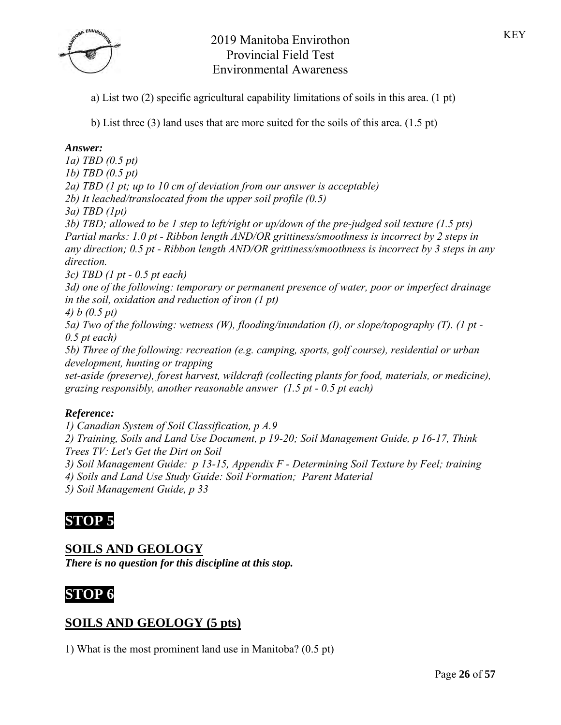

a) List two (2) specific agricultural capability limitations of soils in this area. (1 pt)

b) List three (3) land uses that are more suited for the soils of this area. (1.5 pt)

## *Answer:*

*1a) TBD (0.5 pt) 1b) TBD (0.5 pt) 2a) TBD (1 pt; up to 10 cm of deviation from our answer is acceptable) 2b) It leached/translocated from the upper soil profile (0.5) 3a) TBD (1pt) 3b) TBD; allowed to be 1 step to left/right or up/down of the pre-judged soil texture (1.5 pts) Partial marks: 1.0 pt - Ribbon length AND/OR grittiness/smoothness is incorrect by 2 steps in any direction; 0.5 pt - Ribbon length AND/OR grittiness/smoothness is incorrect by 3 steps in any direction. 3c) TBD (1 pt - 0.5 pt each)* 

*3d) one of the following: temporary or permanent presence of water, poor or imperfect drainage in the soil, oxidation and reduction of iron (1 pt)*

*4) b (0.5 pt)*

*5a) Two of the following: wetness (W), flooding/inundation (I), or slope/topography (T). (1 pt - 0.5 pt each)*

*5b) Three of the following: recreation (e.g. camping, sports, golf course), residential or urban development, hunting or trapping*

*set-aside (preserve), forest harvest, wildcraft (collecting plants for food, materials, or medicine), grazing responsibly, another reasonable answer (1.5 pt - 0.5 pt each)*

## *Reference:*

*1) Canadian System of Soil Classification, p A.9 2) Training, Soils and Land Use Document, p 19-20; Soil Management Guide, p 16-17, Think Trees TV: Let's Get the Dirt on Soil 3) Soil Management Guide: p 13-15, Appendix F - Determining Soil Texture by Feel; training*

*4) Soils and Land Use Study Guide: Soil Formation; Parent Material*

*5) Soil Management Guide, p 33*

# **STOP 5**

# **SOILS AND GEOLOGY**

*There is no question for this discipline at this stop.*



# **SOILS AND GEOLOGY (5 pts)**

1) What is the most prominent land use in Manitoba? (0.5 pt)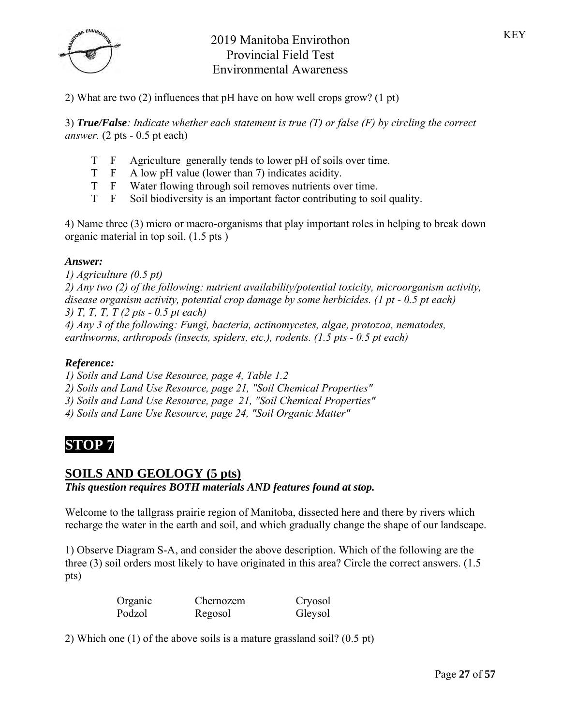

2) What are two (2) influences that pH have on how well crops grow? (1 pt)

3) *True/False: Indicate whether each statement is true (T) or false (F) by circling the correct answer.* (2 pts - 0.5 pt each)

- T F Agriculture generally tends to lower pH of soils over time.
- T F A low pH value (lower than 7) indicates acidity.
- T F Water flowing through soil removes nutrients over time.
- T F Soil biodiversity is an important factor contributing to soil quality.

4) Name three (3) micro or macro-organisms that play important roles in helping to break down organic material in top soil. (1.5 pts )

### *Answer:*

*1) Agriculture (0.5 pt) 2) Any two (2) of the following: nutrient availability/potential toxicity, microorganism activity, disease organism activity, potential crop damage by some herbicides. (1 pt - 0.5 pt each) 3) T, T, T, T (2 pts - 0.5 pt each) 4) Any 3 of the following: Fungi, bacteria, actinomycetes, algae, protozoa, nematodes, earthworms, arthropods (insects, spiders, etc.), rodents. (1.5 pts - 0.5 pt each)*

#### *Reference:*

*1) Soils and Land Use Resource, page 4, Table 1.2*

*2) Soils and Land Use Resource, page 21, "Soil Chemical Properties"*

*3) Soils and Land Use Resource, page 21, "Soil Chemical Properties"*

*4) Soils and Lane Use Resource, page 24, "Soil Organic Matter"*

# **STOP 7**

## **SOILS AND GEOLOGY (5 pts)**

### *This question requires BOTH materials AND features found at stop.*

Welcome to the tallgrass prairie region of Manitoba, dissected here and there by rivers which recharge the water in the earth and soil, and which gradually change the shape of our landscape.

1) Observe Diagram S-A, and consider the above description. Which of the following are the three (3) soil orders most likely to have originated in this area? Circle the correct answers. (1.5 pts)

| Organic | Chernozem | Cryosol |
|---------|-----------|---------|
| Podzol  | Regosol   | Gleysol |

2) Which one (1) of the above soils is a mature grassland soil? (0.5 pt)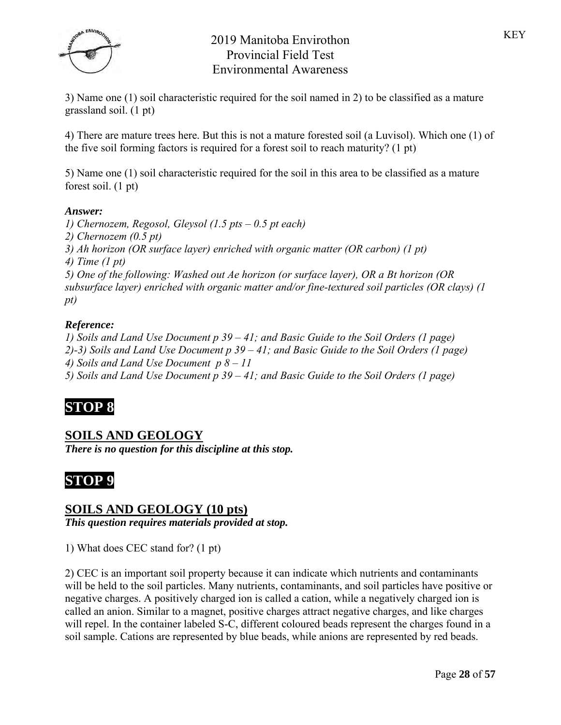

3) Name one (1) soil characteristic required for the soil named in 2) to be classified as a mature grassland soil. (1 pt)

4) There are mature trees here. But this is not a mature forested soil (a Luvisol). Which one (1) of the five soil forming factors is required for a forest soil to reach maturity? (1 pt)

5) Name one (1) soil characteristic required for the soil in this area to be classified as a mature forest soil. (1 pt)

### *Answer:*

*1) Chernozem, Regosol, Gleysol (1.5 pts – 0.5 pt each) 2) Chernozem (0.5 pt) 3) Ah horizon (OR surface layer) enriched with organic matter (OR carbon) (1 pt) 4) Time (1 pt) 5) One of the following: Washed out Ae horizon (or surface layer), OR a Bt horizon (OR subsurface layer) enriched with organic matter and/or fine-textured soil particles (OR clays) (1 pt)*

### *Reference:*

*1) Soils and Land Use Document p 39 – 41; and Basic Guide to the Soil Orders (1 page) 2)-3) Soils and Land Use Document p 39 – 41; and Basic Guide to the Soil Orders (1 page) 4) Soils and Land Use Document p 8 – 11 5) Soils and Land Use Document p 39 – 41; and Basic Guide to the Soil Orders (1 page)*

# **STOP 8**

## **SOILS AND GEOLOGY**

*There is no question for this discipline at this stop.*



## **SOILS AND GEOLOGY (10 pts)**

*This question requires materials provided at stop.*

1) What does CEC stand for? (1 pt)

2) CEC is an important soil property because it can indicate which nutrients and contaminants will be held to the soil particles. Many nutrients, contaminants, and soil particles have positive or negative charges. A positively charged ion is called a cation, while a negatively charged ion is called an anion. Similar to a magnet, positive charges attract negative charges, and like charges will repel. In the container labeled S-C, different coloured beads represent the charges found in a soil sample. Cations are represented by blue beads, while anions are represented by red beads.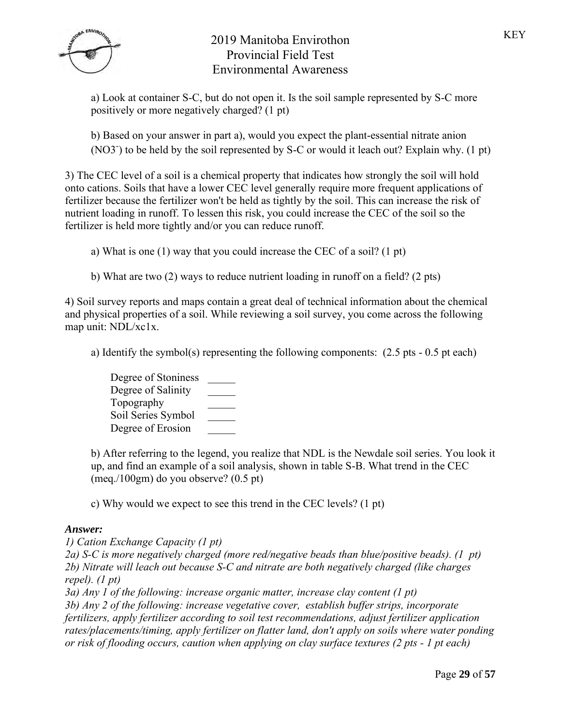

a) Look at container S-C, but do not open it. Is the soil sample represented by S-C more positively or more negatively charged? (1 pt)

b) Based on your answer in part a), would you expect the plant-essential nitrate anion (NO3<sup>-</sup>) to be held by the soil represented by S-C or would it leach out? Explain why. (1 pt)

3) The CEC level of a soil is a chemical property that indicates how strongly the soil will hold onto cations. Soils that have a lower CEC level generally require more frequent applications of fertilizer because the fertilizer won't be held as tightly by the soil. This can increase the risk of nutrient loading in runoff. To lessen this risk, you could increase the CEC of the soil so the fertilizer is held more tightly and/or you can reduce runoff.

a) What is one (1) way that you could increase the CEC of a soil? (1 pt)

b) What are two (2) ways to reduce nutrient loading in runoff on a field? (2 pts)

4) Soil survey reports and maps contain a great deal of technical information about the chemical and physical properties of a soil. While reviewing a soil survey, you come across the following map unit: NDL/xc1x.

a) Identify the symbol(s) representing the following components: (2.5 pts - 0.5 pt each)

| Degree of Stoniness |  |
|---------------------|--|
| Degree of Salinity  |  |
| Topography          |  |
| Soil Series Symbol  |  |
| Degree of Erosion   |  |

b) After referring to the legend, you realize that NDL is the Newdale soil series. You look it up, and find an example of a soil analysis, shown in table S-B. What trend in the CEC (meq./100gm) do you observe? (0.5 pt)

c) Why would we expect to see this trend in the CEC levels? (1 pt)

### *Answer:*

*1) Cation Exchange Capacity (1 pt)*

*2a) S-C is more negatively charged (more red/negative beads than blue/positive beads). (1 pt) 2b) Nitrate will leach out because S-C and nitrate are both negatively charged (like charges repel). (1 pt)*

*3a) Any 1 of the following: increase organic matter, increase clay content (1 pt) 3b) Any 2 of the following: increase vegetative cover, establish buffer strips, incorporate fertilizers, apply fertilizer according to soil test recommendations, adjust fertilizer application rates/placements/timing, apply fertilizer on flatter land, don't apply on soils where water ponding or risk of flooding occurs, caution when applying on clay surface textures (2 pts - 1 pt each)*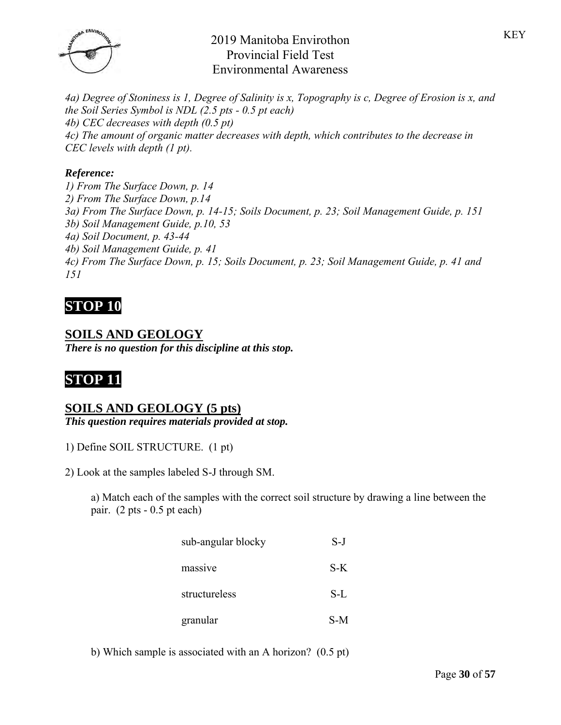

*4a) Degree of Stoniness is 1, Degree of Salinity is x, Topography is c, Degree of Erosion is x, and the Soil Series Symbol is NDL (2.5 pts - 0.5 pt each) 4b) CEC decreases with depth (0.5 pt) 4c) The amount of organic matter decreases with depth, which contributes to the decrease in CEC levels with depth (1 pt).*

### *Reference:*

*1) From The Surface Down, p. 14 2) From The Surface Down, p.14 3a) From The Surface Down, p. 14-15; Soils Document, p. 23; Soil Management Guide, p. 151 3b) Soil Management Guide, p.10, 53 4a) Soil Document, p. 43-44 4b) Soil Management Guide, p. 41 4c) From The Surface Down, p. 15; Soils Document, p. 23; Soil Management Guide, p. 41 and 151*

# **STOP 10**

# **SOILS AND GEOLOGY**

*There is no question for this discipline at this stop.*

# **STOP 11**

### **SOILS AND GEOLOGY (5 pts)**

*This question requires materials provided at stop.*

1) Define SOIL STRUCTURE. (1 pt)

2) Look at the samples labeled S-J through SM.

a) Match each of the samples with the correct soil structure by drawing a line between the pair. (2 pts - 0.5 pt each)

| sub-angular blocky | $S-J$ |
|--------------------|-------|
| massive            | S-K   |
| structureless      | S-L   |
| granular           | S-M   |

b) Which sample is associated with an A horizon? (0.5 pt)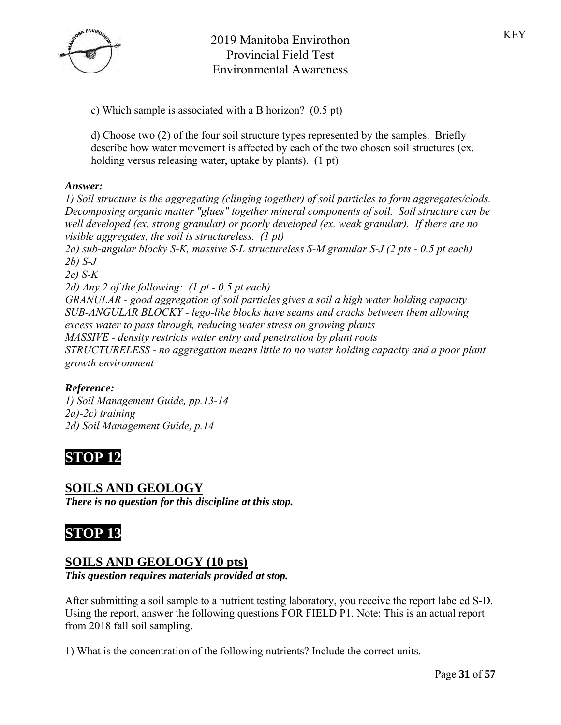

d) Choose two (2) of the four soil structure types represented by the samples. Briefly describe how water movement is affected by each of the two chosen soil structures (ex. holding versus releasing water, uptake by plants). (1 pt)

### *Answer:*

*1) Soil structure is the aggregating (clinging together) of soil particles to form aggregates/clods. Decomposing organic matter "glues" together mineral components of soil. Soil structure can be well developed (ex. strong granular) or poorly developed (ex. weak granular). If there are no visible aggregates, the soil is structureless. (1 pt) 2a) sub-angular blocky S-K, massive S-L structureless S-M granular S-J (2 pts - 0.5 pt each) 2b) S-J 2c) S-K 2d) Any 2 of the following: (1 pt - 0.5 pt each) GRANULAR - good aggregation of soil particles gives a soil a high water holding capacity SUB-ANGULAR BLOCKY - lego-like blocks have seams and cracks between them allowing excess water to pass through, reducing water stress on growing plants MASSIVE - density restricts water entry and penetration by plant roots STRUCTURELESS - no aggregation means little to no water holding capacity and a poor plant growth environment*

### *Reference:*

*1) Soil Management Guide, pp.13-14 2a)-2c) training 2d) Soil Management Guide, p.14*

# **STOP 12**

## **SOILS AND GEOLOGY**

*There is no question for this discipline at this stop.*

# **STOP 13**

## **SOILS AND GEOLOGY (10 pts)**

*This question requires materials provided at stop.*

After submitting a soil sample to a nutrient testing laboratory, you receive the report labeled S-D. Using the report, answer the following questions FOR FIELD P1. Note: This is an actual report from 2018 fall soil sampling.

1) What is the concentration of the following nutrients? Include the correct units.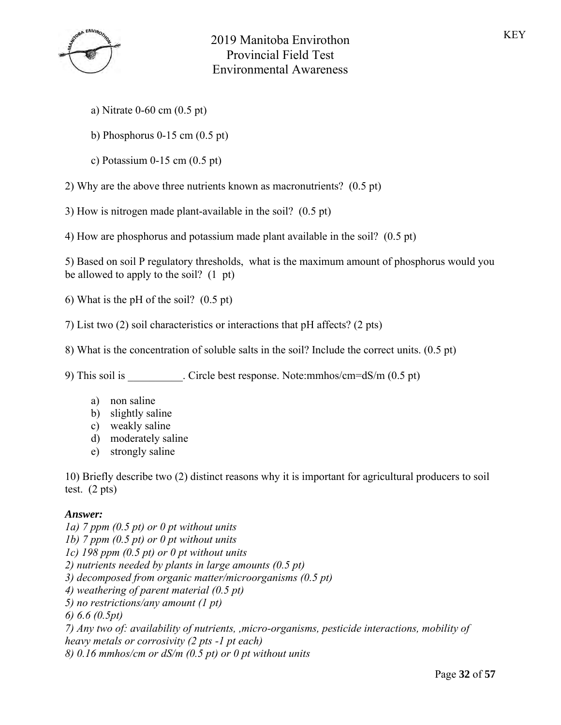

- a) Nitrate 0-60 cm (0.5 pt)
- b) Phosphorus 0-15 cm (0.5 pt)
- c) Potassium 0-15 cm (0.5 pt)

2) Why are the above three nutrients known as macronutrients? (0.5 pt)

3) How is nitrogen made plant-available in the soil? (0.5 pt)

4) How are phosphorus and potassium made plant available in the soil? (0.5 pt)

5) Based on soil P regulatory thresholds, what is the maximum amount of phosphorus would you be allowed to apply to the soil? (1 pt)

6) What is the pH of the soil? (0.5 pt)

- 7) List two (2) soil characteristics or interactions that pH affects? (2 pts)
- 8) What is the concentration of soluble salts in the soil? Include the correct units. (0.5 pt)

9) This soil is \_\_\_\_\_\_\_\_\_\_. Circle best response. Note:mmhos/cm=dS/m (0.5 pt)

- a) non saline
- b) slightly saline
- c) weakly saline
- d) moderately saline
- e) strongly saline

10) Briefly describe two (2) distinct reasons why it is important for agricultural producers to soil test. (2 pts)

### *Answer:*

*1a) 7 ppm (0.5 pt) or 0 pt without units 1b) 7 ppm (0.5 pt) or 0 pt without units 1c) 198 ppm (0.5 pt) or 0 pt without units 2) nutrients needed by plants in large amounts (0.5 pt) 3) decomposed from organic matter/microorganisms (0.5 pt) 4) weathering of parent material (0.5 pt) 5) no restrictions/any amount (1 pt) 6) 6.6 (0.5pt) 7) Any two of: availability of nutrients, ,micro-organisms, pesticide interactions, mobility of heavy metals or corrosivity (2 pts -1 pt each) 8) 0.16 mmhos/cm or dS/m (0.5 pt) or 0 pt without units*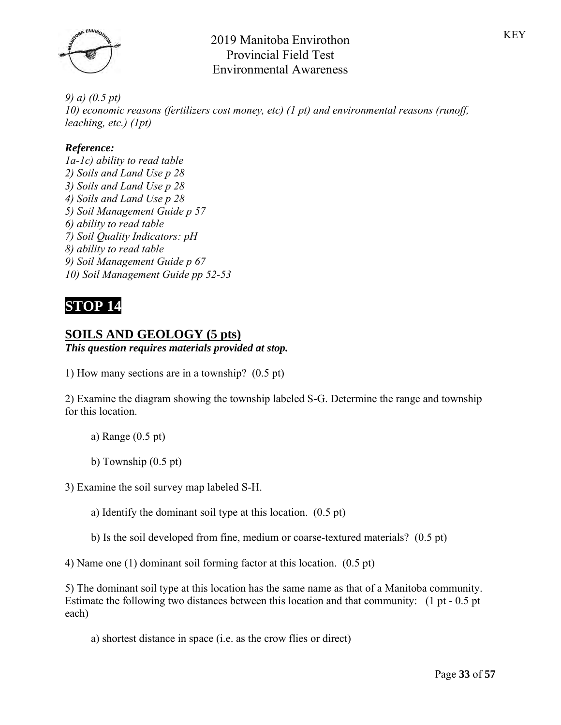

*9) a) (0.5 pt) 10) economic reasons (fertilizers cost money, etc) (1 pt) and environmental reasons (runoff, leaching, etc.) (1pt)*

### *Reference:*

*1a-1c) ability to read table 2) Soils and Land Use p 28 3) Soils and Land Use p 28 4) Soils and Land Use p 28 5) Soil Management Guide p 57 6) ability to read table 7) Soil Quality Indicators: pH 8) ability to read table 9) Soil Management Guide p 67 10) Soil Management Guide pp 52-53*

# **STOP 14**

## **SOILS AND GEOLOGY (5 pts)**

### *This question requires materials provided at stop.*

1) How many sections are in a township? (0.5 pt)

2) Examine the diagram showing the township labeled S-G. Determine the range and township for this location.

- a) Range (0.5 pt)
- b) Township (0.5 pt)

3) Examine the soil survey map labeled S-H.

a) Identify the dominant soil type at this location. (0.5 pt)

b) Is the soil developed from fine, medium or coarse-textured materials? (0.5 pt)

4) Name one (1) dominant soil forming factor at this location. (0.5 pt)

5) The dominant soil type at this location has the same name as that of a Manitoba community. Estimate the following two distances between this location and that community: (1 pt - 0.5 pt each)

a) shortest distance in space (i.e. as the crow flies or direct)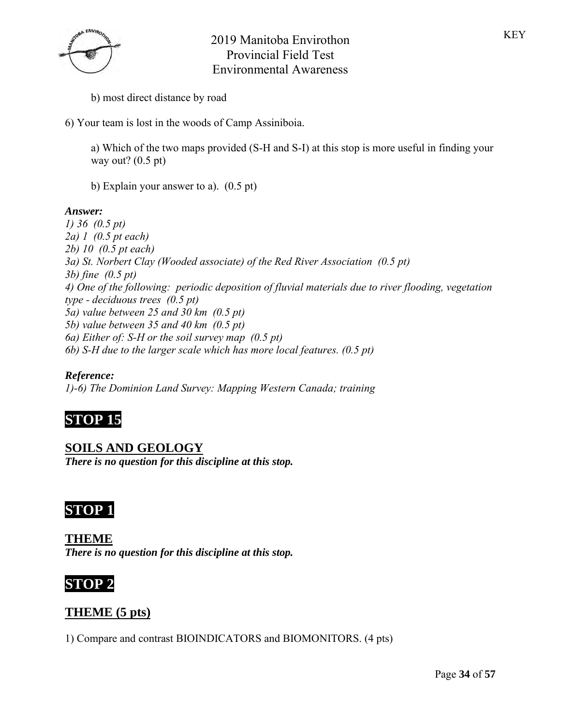

- b) most direct distance by road
- 6) Your team is lost in the woods of Camp Assiniboia.
	- a) Which of the two maps provided (S-H and S-I) at this stop is more useful in finding your way out?  $(0.5 \text{ pt})$
	- b) Explain your answer to a). (0.5 pt)

### *Answer:*

*1) 36 (0.5 pt) 2a) 1 (0.5 pt each) 2b) 10 (0.5 pt each) 3a) St. Norbert Clay (Wooded associate) of the Red River Association (0.5 pt) 3b) fine (0.5 pt) 4) One of the following: periodic deposition of fluvial materials due to river flooding, vegetation type - deciduous trees (0.5 pt) 5a) value between 25 and 30 km (0.5 pt) 5b) value between 35 and 40 km (0.5 pt) 6a) Either of: S-H or the soil survey map (0.5 pt) 6b) S-H due to the larger scale which has more local features. (0.5 pt)*

### *Reference:*

*1)-6) The Dominion Land Survey: Mapping Western Canada; training*

# **STOP 15**

**SOILS AND GEOLOGY** *There is no question for this discipline at this stop.*

# **STOP 1**

**THEME** *There is no question for this discipline at this stop.*



## **THEME (5 pts)**

1) Compare and contrast BIOINDICATORS and BIOMONITORS. (4 pts)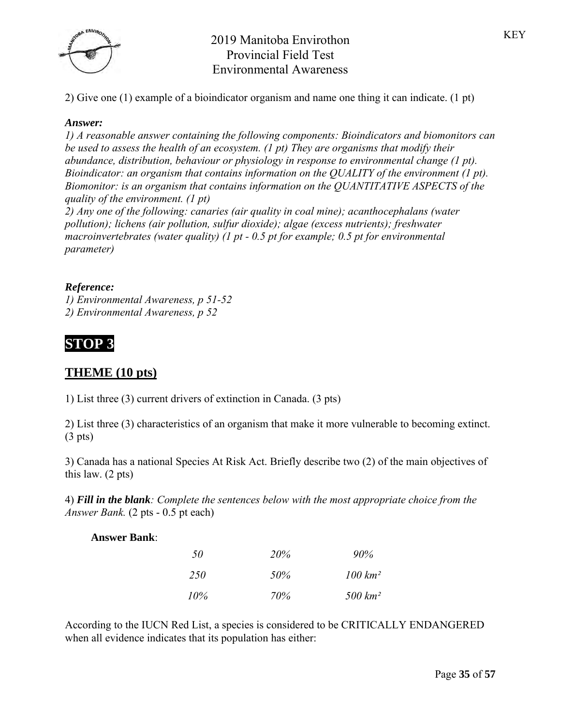

2) Give one (1) example of a bioindicator organism and name one thing it can indicate. (1 pt)

#### *Answer:*

*1) A reasonable answer containing the following components: Bioindicators and biomonitors can be used to assess the health of an ecosystem. (1 pt) They are organisms that modify their abundance, distribution, behaviour or physiology in response to environmental change (1 pt). Bioindicator: an organism that contains information on the QUALITY of the environment (1 pt). Biomonitor: is an organism that contains information on the QUANTITATIVE ASPECTS of the quality of the environment. (1 pt)* 

*2) Any one of the following: canaries (air quality in coal mine); acanthocephalans (water pollution); lichens (air pollution, sulfur dioxide); algae (excess nutrients); freshwater macroinvertebrates (water quality) (1 pt - 0.5 pt for example; 0.5 pt for environmental parameter)*

### *Reference:*

*1) Environmental Awareness, p 51-52 2) Environmental Awareness, p 52*

# **STOP 3**

## **THEME (10 pts)**

1) List three (3) current drivers of extinction in Canada. (3 pts)

2) List three (3) characteristics of an organism that make it more vulnerable to becoming extinct. (3 pts)

3) Canada has a national Species At Risk Act. Briefly describe two (2) of the main objectives of this law. (2 pts)

4) *Fill in the blank: Complete the sentences below with the most appropriate choice from the Answer Bank.* (2 pts - 0.5 pt each)

| <b>Answer Bank:</b> |  |
|---------------------|--|
|                     |  |

| 50     | <i>20%</i> | $90\%$      |  |
|--------|------------|-------------|--|
| -250   | 50%        | $100 \ km2$ |  |
| $10\%$ | 70%        | $500 \ km2$ |  |

According to the IUCN Red List, a species is considered to be CRITICALLY ENDANGERED when all evidence indicates that its population has either: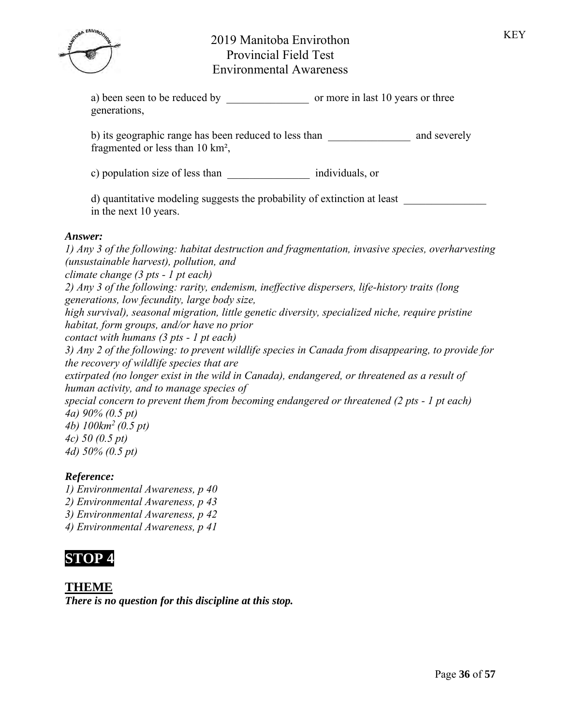a) been seen to be reduced by common or more in last 10 years or three generations,

b) its geographic range has been reduced to less than and severely fragmented or less than 10 km²,

c) population size of less than  $\blacksquare$  individuals, or

d) quantitative modeling suggests the probability of extinction at least \_\_\_\_\_\_\_\_\_\_\_\_\_\_\_ in the next 10 years.

### *Answer:*

*1) Any 3 of the following: habitat destruction and fragmentation, invasive species, overharvesting (unsustainable harvest), pollution, and climate change (3 pts - 1 pt each) 2) Any 3 of the following: rarity, endemism, ineffective dispersers, life-history traits (long generations, low fecundity, large body size, high survival), seasonal migration, little genetic diversity, specialized niche, require pristine habitat, form groups, and/or have no prior contact with humans (3 pts - 1 pt each) 3) Any 2 of the following: to prevent wildlife species in Canada from disappearing, to provide for the recovery of wildlife species that are extirpated (no longer exist in the wild in Canada), endangered, or threatened as a result of human activity, and to manage species of special concern to prevent them from becoming endangered or threatened (2 pts - 1 pt each) 4a) 90% (0.5 pt) 4b) 100km<sup>2</sup>(0.5 pt) 4c) 50 (0.5 pt) 4d) 50% (0.5 pt)*

### *Reference:*

*1) Environmental Awareness, p 40*

- *2) Environmental Awareness, p 43*
- *3) Environmental Awareness, p 42*
- *4) Environmental Awareness, p 41*



## **THEME**

*There is no question for this discipline at this stop.*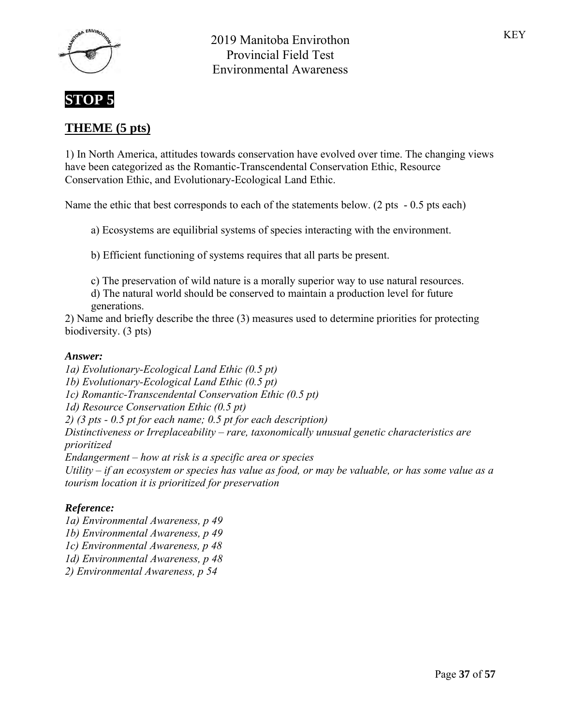

# **STOP 5**

# **THEME (5 pts)**

1) In North America, attitudes towards conservation have evolved over time. The changing views have been categorized as the Romantic-Transcendental Conservation Ethic, Resource Conservation Ethic, and Evolutionary-Ecological Land Ethic.

Name the ethic that best corresponds to each of the statements below. (2 pts - 0.5 pts each)

a) Ecosystems are equilibrial systems of species interacting with the environment.

b) Efficient functioning of systems requires that all parts be present.

c) The preservation of wild nature is a morally superior way to use natural resources.

d) The natural world should be conserved to maintain a production level for future generations.

2) Name and briefly describe the three (3) measures used to determine priorities for protecting biodiversity. (3 pts)

### *Answer:*

*1a) Evolutionary-Ecological Land Ethic (0.5 pt) 1b) Evolutionary-Ecological Land Ethic (0.5 pt) 1c) Romantic-Transcendental Conservation Ethic (0.5 pt) 1d) Resource Conservation Ethic (0.5 pt) 2) (3 pts - 0.5 pt for each name; 0.5 pt for each description) Distinctiveness or Irreplaceability – rare, taxonomically unusual genetic characteristics are prioritized Endangerment – how at risk is a specific area or species Utility – if an ecosystem or species has value as food, or may be valuable, or has some value as a tourism location it is prioritized for preservation*

### *Reference:*

*1a) Environmental Awareness, p 49 1b) Environmental Awareness, p 49 1c) Environmental Awareness, p 48 1d) Environmental Awareness, p 48 2) Environmental Awareness, p 54*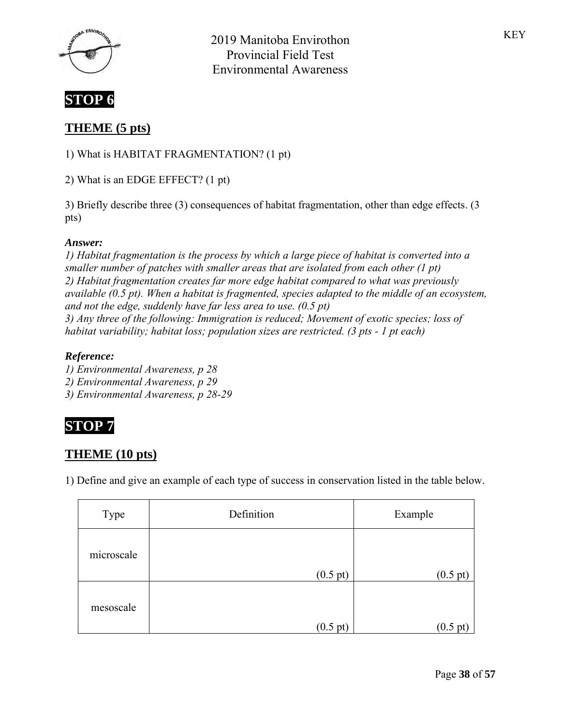



# **THEME (5 pts)**

1) What is HABITAT FRAGMENTATION? (1 pt)

2) What is an EDGE EFFECT? (1 pt)

3) Briefly describe three (3) consequences of habitat fragmentation, other than edge effects. (3 pts)

### *Answer:*

*1) Habitat fragmentation is the process by which a large piece of habitat is converted into a smaller number of patches with smaller areas that are isolated from each other (1 pt) 2) Habitat fragmentation creates far more edge habitat compared to what was previously available (0.5 pt). When a habitat is fragmented, species adapted to the middle of an ecosystem, and not the edge, suddenly have far less area to use. (0.5 pt) 3) Any three of the following: Immigration is reduced; Movement of exotic species; loss of habitat variability; habitat loss; population sizes are restricted. (3 pts - 1 pt each)*

### *Reference:*

*1) Environmental Awareness, p 28*

*2) Environmental Awareness, p 29*

*3) Environmental Awareness, p 28-29*



# **THEME (10 pts)**

1) Define and give an example of each type of success in conservation listed in the table below.

| Type       | Definition         | Example            |
|------------|--------------------|--------------------|
| microscale |                    |                    |
|            | $(0.5 \text{ pt})$ | $(0.5 \text{ pt})$ |
| mesoscale  | $(0.5 \text{ pt})$ | 0.5                |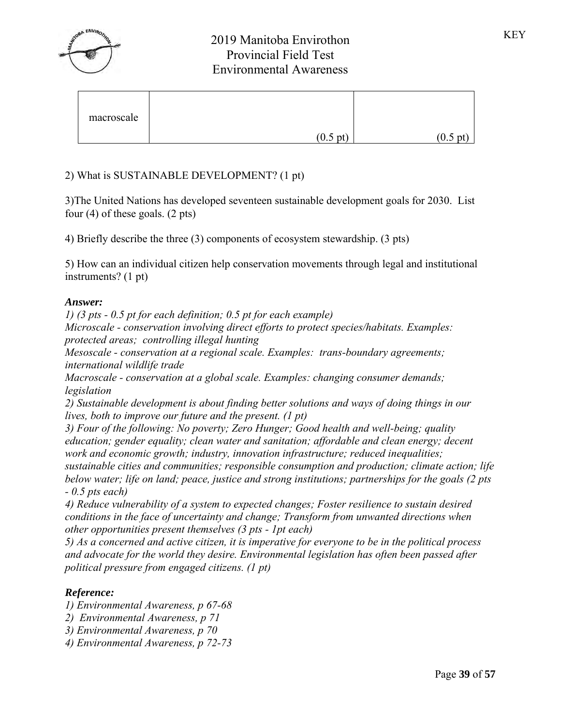

| macroscale |                    |                    |
|------------|--------------------|--------------------|
|            | $(0.5 \text{ pt})$ | $(0.5 \text{ pt})$ |

## 2) What is SUSTAINABLE DEVELOPMENT? (1 pt)

3)The United Nations has developed seventeen sustainable development goals for 2030. List four (4) of these goals. (2 pts)

4) Briefly describe the three (3) components of ecosystem stewardship. (3 pts)

5) How can an individual citizen help conservation movements through legal and institutional instruments? (1 pt)

### *Answer:*

*1) (3 pts - 0.5 pt for each definition; 0.5 pt for each example)*

*Microscale - conservation involving direct efforts to protect species/habitats. Examples: protected areas; controlling illegal hunting*

*Mesoscale - conservation at a regional scale. Examples: trans-boundary agreements; international wildlife trade*

*Macroscale - conservation at a global scale. Examples: changing consumer demands; legislation*

*2) Sustainable development is about finding better solutions and ways of doing things in our lives, both to improve our future and the present. (1 pt)*

*3) Four of the following: No poverty; Zero Hunger; Good health and well-being; quality education; gender equality; clean water and sanitation; affordable and clean energy; decent work and economic growth; industry, innovation infrastructure; reduced inequalities;* 

*sustainable cities and communities; responsible consumption and production; climate action; life below water; life on land; peace, justice and strong institutions; partnerships for the goals (2 pts - 0.5 pts each)*

*4) Reduce vulnerability of a system to expected changes; Foster resilience to sustain desired conditions in the face of uncertainty and change; Transform from unwanted directions when other opportunities present themselves (3 pts - 1pt each)*

*5) As a concerned and active citizen, it is imperative for everyone to be in the political process and advocate for the world they desire. Environmental legislation has often been passed after political pressure from engaged citizens. (1 pt)*

### *Reference:*

*1) Environmental Awareness, p 67-68*

- *2) Environmental Awareness, p 71*
- *3) Environmental Awareness, p 70*
- *4) Environmental Awareness, p 72-73*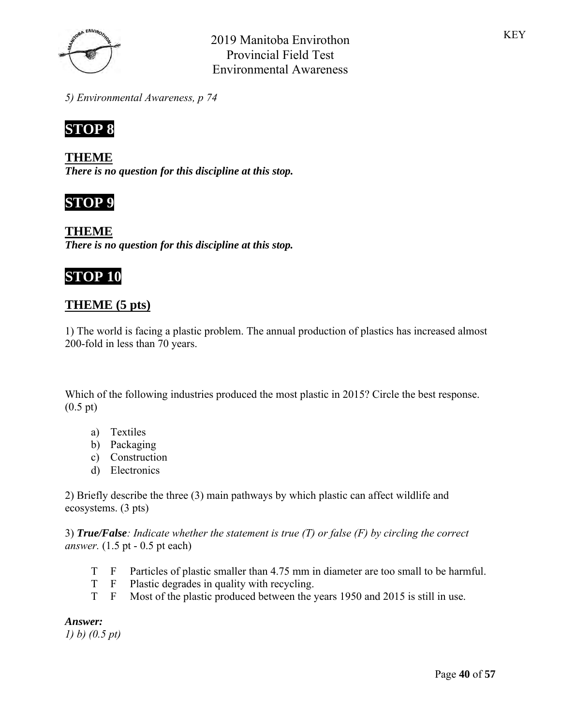

*5) Environmental Awareness, p 74*



**THEME** *There is no question for this discipline at this stop.*



**THEME** *There is no question for this discipline at this stop.*

# **STOP 10**

## **THEME (5 pts)**

1) The world is facing a plastic problem. The annual production of plastics has increased almost 200-fold in less than 70 years.

Which of the following industries produced the most plastic in 2015? Circle the best response. (0.5 pt)

- a) Textiles
- b) Packaging
- c) Construction
- d) Electronics

2) Briefly describe the three (3) main pathways by which plastic can affect wildlife and ecosystems. (3 pts)

3) *True/False: Indicate whether the statement is true (T) or false (F) by circling the correct answer.* (1.5 pt - 0.5 pt each)

- T F Particles of plastic smaller than 4.75 mm in diameter are too small to be harmful.
- T F Plastic degrades in quality with recycling.
- T F Most of the plastic produced between the years 1950 and 2015 is still in use.

*Answer:*

*1) b) (0.5 pt)*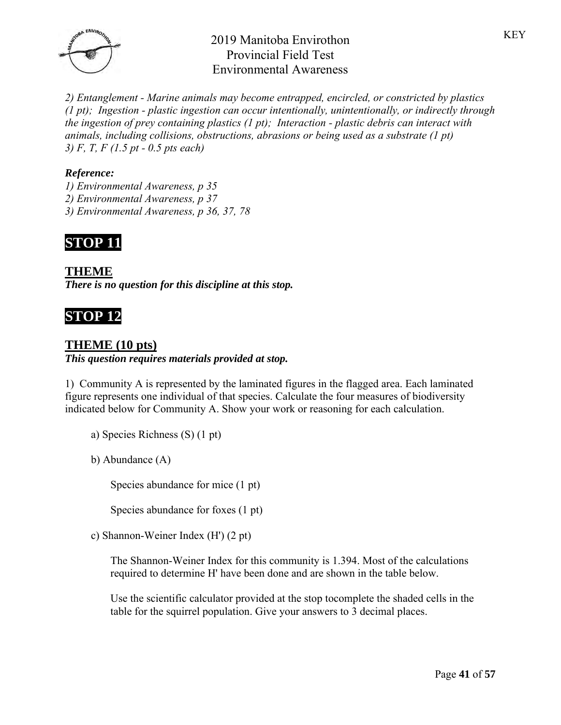

*2) Entanglement - Marine animals may become entrapped, encircled, or constricted by plastics (1 pt); Ingestion - plastic ingestion can occur intentionally, unintentionally, or indirectly through the ingestion of prey containing plastics (1 pt); Interaction - plastic debris can interact with animals, including collisions, obstructions, abrasions or being used as a substrate (1 pt) 3) F, T, F (1.5 pt - 0.5 pts each)*

### *Reference:*

- *1) Environmental Awareness, p 35*
- *2) Environmental Awareness, p 37*
- *3) Environmental Awareness, p 36, 37, 78*



**THEME** *There is no question for this discipline at this stop.*

# **STOP 12**

## **THEME (10 pts)**

*This question requires materials provided at stop.*

1) Community A is represented by the laminated figures in the flagged area. Each laminated figure represents one individual of that species. Calculate the four measures of biodiversity indicated below for Community A. Show your work or reasoning for each calculation.

a) Species Richness (S) (1 pt)

b) Abundance (A)

Species abundance for mice (1 pt)

Species abundance for foxes (1 pt)

c) Shannon-Weiner Index (H') (2 pt)

The Shannon-Weiner Index for this community is 1.394. Most of the calculations required to determine H' have been done and are shown in the table below.

Use the scientific calculator provided at the stop tocomplete the shaded cells in the table for the squirrel population. Give your answers to 3 decimal places.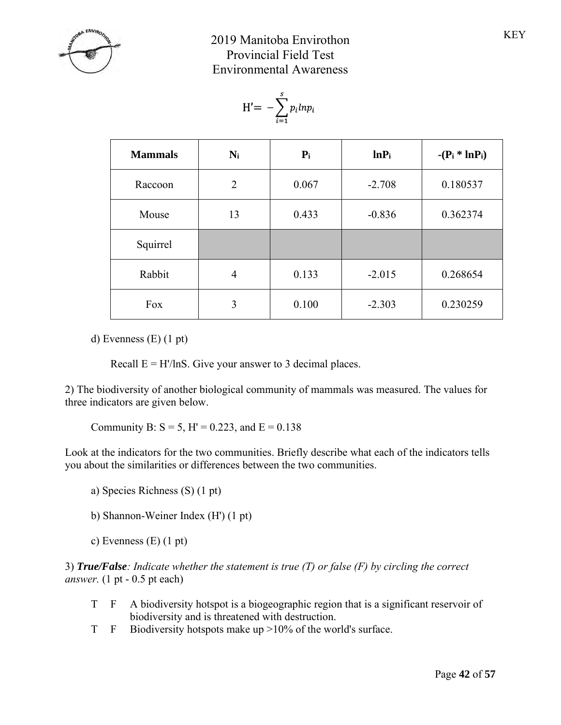

$$
H' = -\sum_{i=1}^s p_i l n p_i
$$

| <b>Mammals</b> | $N_i$ | $P_i$ | $lnP_i$  | $-(P_i * ln P_i)$ |
|----------------|-------|-------|----------|-------------------|
| Raccoon        | 2     | 0.067 | $-2.708$ | 0.180537          |
| Mouse          | 13    | 0.433 | $-0.836$ | 0.362374          |
| Squirrel       |       |       |          |                   |
| Rabbit         | 4     | 0.133 | $-2.015$ | 0.268654          |
| Fox            | 3     | 0.100 | $-2.303$ | 0.230259          |

d) Evenness (E) (1 pt)

Recall  $E = H'/\ln S$ . Give your answer to 3 decimal places.

2) The biodiversity of another biological community of mammals was measured. The values for three indicators are given below.

Community B:  $S = 5$ , H' = 0.223, and E = 0.138

Look at the indicators for the two communities. Briefly describe what each of the indicators tells you about the similarities or differences between the two communities.

- a) Species Richness (S) (1 pt)
- b) Shannon-Weiner Index (H') (1 pt)

c) Evenness (E) (1 pt)

3) *True/False: Indicate whether the statement is true (T) or false (F) by circling the correct answer.* (1 pt - 0.5 pt each)

- T F A biodiversity hotspot is a biogeographic region that is a significant reservoir of biodiversity and is threatened with destruction.
- T F Biodiversity hotspots make up >10% of the world's surface.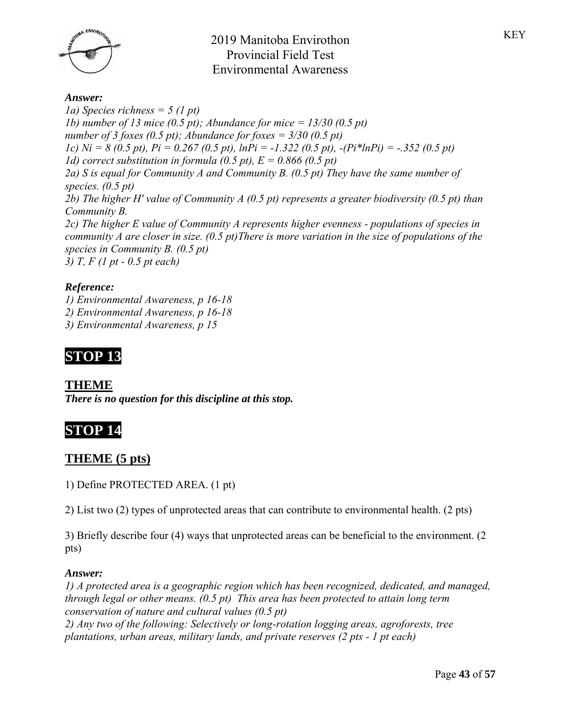

#### *Answer:*

*1a) Species richness = 5 (1 pt) 1b) number of 13 mice (0.5 pt); Abundance for mice = 13/30 (0.5 pt) number of 3 foxes (0.5 pt); Abundance for foxes = 3/30 (0.5 pt) 1c) Ni = 8 (0.5 pt), Pi = 0.267 (0.5 pt), lnPi = -1.322 (0.5 pt), -(Pi\*lnPi) = -.352 (0.5 pt) 1d) correct substitution in formula (0.5 pt), E = 0.866 (0.5 pt) 2a) S is equal for Community A and Community B. (0.5 pt) They have the same number of species. (0.5 pt) 2b) The higher H' value of Community A (0.5 pt) represents a greater biodiversity (0.5 pt) than Community B. 2c) The higher E value of Community A represents higher evenness - populations of species in community A are closer in size. (0.5 pt)There is more variation in the size of populations of the species in Community B. (0.5 pt) 3) T, F (1 pt - 0.5 pt each)*

### *Reference:*

*1) Environmental Awareness, p 16-18 2) Environmental Awareness, p 16-18 3) Environmental Awareness, p 15*

# **STOP 13**

### **THEME**

*There is no question for this discipline at this stop.*

# **STOP 14**

### **THEME (5 pts)**

1) Define PROTECTED AREA. (1 pt)

2) List two (2) types of unprotected areas that can contribute to environmental health. (2 pts)

3) Briefly describe four (4) ways that unprotected areas can be beneficial to the environment. (2 pts)

#### *Answer:*

*1) A protected area is a geographic region which has been recognized, dedicated, and managed, through legal or other means. (0.5 pt) This area has been protected to attain long term conservation of nature and cultural values (0.5 pt) 2) Any two of the following: Selectively or long-rotation logging areas, agroforests, tree* 

*plantations, urban areas, military lands, and private reserves (2 pts - 1 pt each)*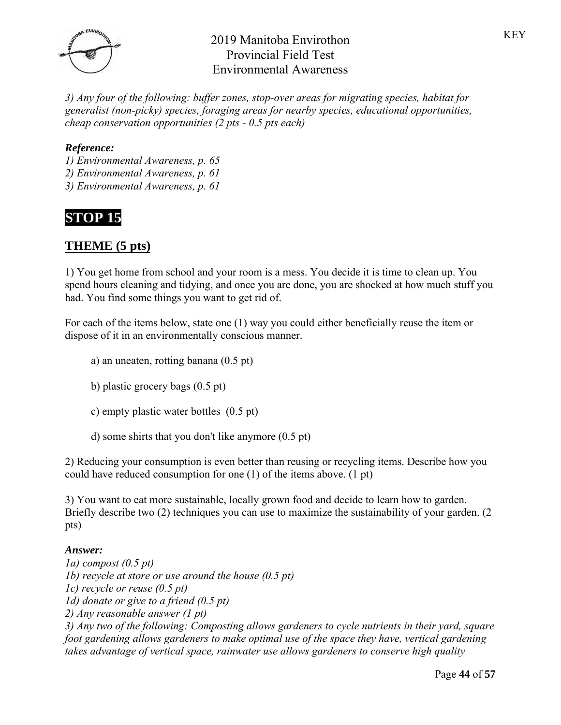

*3) Any four of the following: buffer zones, stop-over areas for migrating species, habitat for generalist (non-picky) species, foraging areas for nearby species, educational opportunities, cheap conservation opportunities (2 pts - 0.5 pts each)*

### *Reference:*

- *1) Environmental Awareness, p. 65 2) Environmental Awareness, p. 61*
- *3) Environmental Awareness, p. 61*

# **STOP 15**

# **THEME (5 pts)**

1) You get home from school and your room is a mess. You decide it is time to clean up. You spend hours cleaning and tidying, and once you are done, you are shocked at how much stuff you had. You find some things you want to get rid of.

For each of the items below, state one (1) way you could either beneficially reuse the item or dispose of it in an environmentally conscious manner.

- a) an uneaten, rotting banana (0.5 pt)
- b) plastic grocery bags (0.5 pt)
- c) empty plastic water bottles (0.5 pt)
- d) some shirts that you don't like anymore (0.5 pt)

2) Reducing your consumption is even better than reusing or recycling items. Describe how you could have reduced consumption for one (1) of the items above. (1 pt)

3) You want to eat more sustainable, locally grown food and decide to learn how to garden. Briefly describe two (2) techniques you can use to maximize the sustainability of your garden. (2) pts)

### *Answer:*

*1a) compost (0.5 pt) 1b) recycle at store or use around the house (0.5 pt) 1c) recycle or reuse (0.5 pt) 1d) donate or give to a friend (0.5 pt) 2) Any reasonable answer (1 pt) 3) Any two of the following: Composting allows gardeners to cycle nutrients in their yard, square foot gardening allows gardeners to make optimal use of the space they have, vertical gardening takes advantage of vertical space, rainwater use allows gardeners to conserve high quality*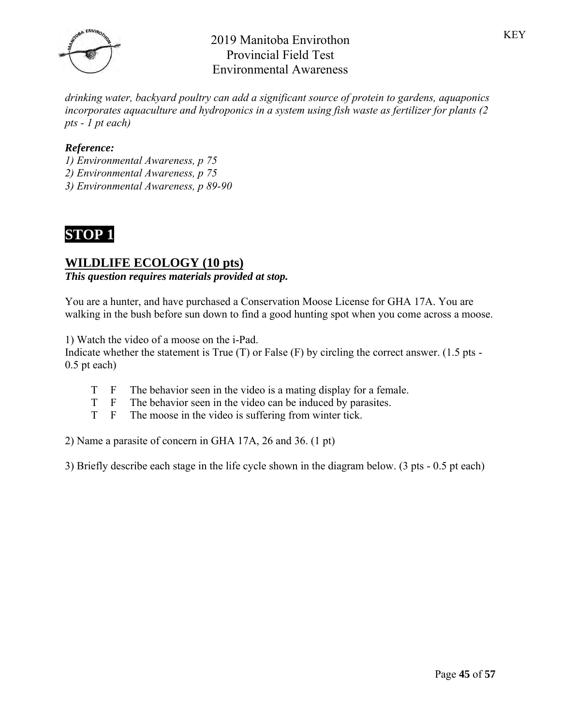

*drinking water, backyard poultry can add a significant source of protein to gardens, aquaponics incorporates aquaculture and hydroponics in a system using fish waste as fertilizer for plants (2 pts - 1 pt each)*

### *Reference:*

- *1) Environmental Awareness, p 75*
- *2) Environmental Awareness, p 75*
- *3) Environmental Awareness, p 89-90*



## **WILDLIFE ECOLOGY (10 pts)**

### *This question requires materials provided at stop.*

You are a hunter, and have purchased a Conservation Moose License for GHA 17A. You are walking in the bush before sun down to find a good hunting spot when you come across a moose.

1) Watch the video of a moose on the i-Pad.

Indicate whether the statement is True  $(T)$  or False  $(F)$  by circling the correct answer. (1.5 pts -0.5 pt each)

- T F The behavior seen in the video is a mating display for a female.
- T F The behavior seen in the video can be induced by parasites.
- T F The moose in the video is suffering from winter tick.

2) Name a parasite of concern in GHA 17A, 26 and 36. (1 pt)

3) Briefly describe each stage in the life cycle shown in the diagram below. (3 pts - 0.5 pt each)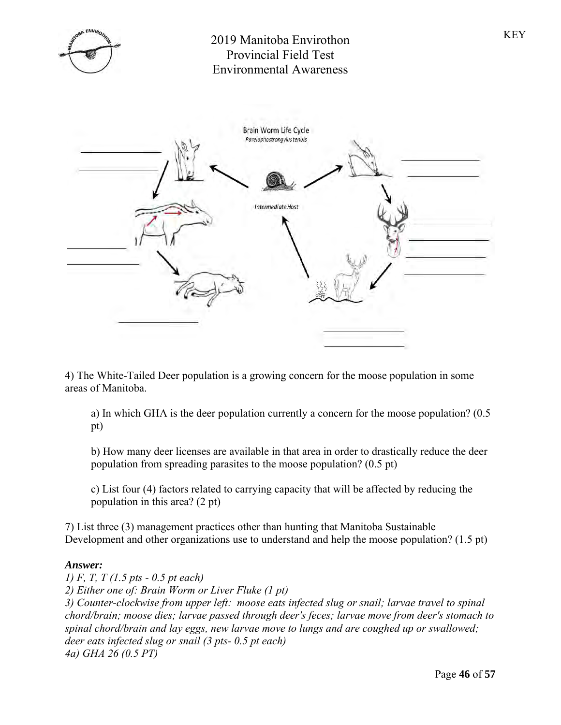



4) The White-Tailed Deer population is a growing concern for the moose population in some areas of Manitoba.

a) In which GHA is the deer population currently a concern for the moose population? (0.5 pt)

b) How many deer licenses are available in that area in order to drastically reduce the deer population from spreading parasites to the moose population? (0.5 pt)

c) List four (4) factors related to carrying capacity that will be affected by reducing the population in this area? (2 pt)

7) List three (3) management practices other than hunting that Manitoba Sustainable Development and other organizations use to understand and help the moose population? (1.5 pt)

#### *Answer:*

*1) F, T, T (1.5 pts - 0.5 pt each) 2) Either one of: Brain Worm or Liver Fluke (1 pt) 3) Counter-clockwise from upper left: moose eats infected slug or snail; larvae travel to spinal chord/brain; moose dies; larvae passed through deer's feces; larvae move from deer's stomach to spinal chord/brain and lay eggs, new larvae move to lungs and are coughed up or swallowed; deer eats infected slug or snail (3 pts- 0.5 pt each) 4a) GHA 26 (0.5 PT)*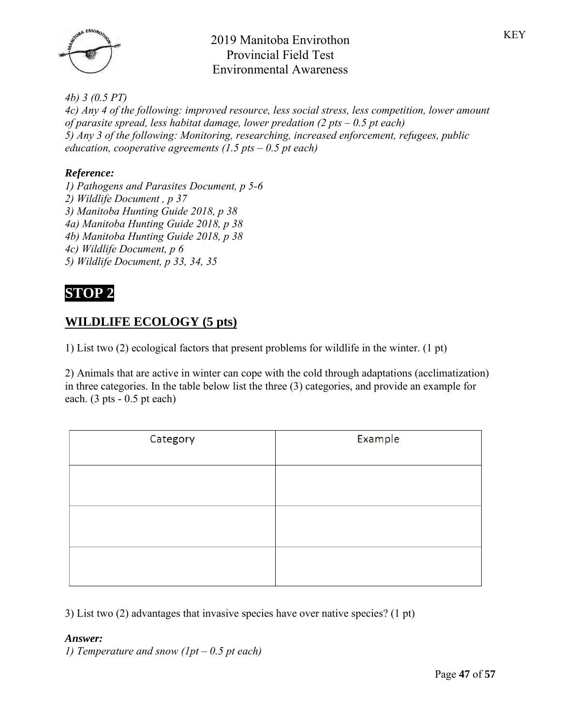

*4b) 3 (0.5 PT)*

*4c) Any 4 of the following: improved resource, less social stress, less competition, lower amount of parasite spread, less habitat damage, lower predation (2 pts – 0.5 pt each) 5) Any 3 of the following: Monitoring, researching, increased enforcement, refugees, public education, cooperative agreements (1.5 pts – 0.5 pt each)*

### *Reference:*

*1) Pathogens and Parasites Document, p 5-6 2) Wildlife Document , p 37 3) Manitoba Hunting Guide 2018, p 38 4a) Manitoba Hunting Guide 2018, p 38 4b) Manitoba Hunting Guide 2018, p 38 4c) Wildlife Document, p 6 5) Wildlife Document, p 33, 34, 35*

# **STOP 2**

## **WILDLIFE ECOLOGY (5 pts)**

1) List two (2) ecological factors that present problems for wildlife in the winter. (1 pt)

2) Animals that are active in winter can cope with the cold through adaptations (acclimatization) in three categories. In the table below list the three (3) categories, and provide an example for each.  $(3 \text{ pts} - 0.5 \text{ pt each})$ 

| Category | Example |
|----------|---------|
|          |         |
|          |         |
|          |         |
|          |         |

3) List two (2) advantages that invasive species have over native species? (1 pt)

### *Answer:*

*1) Temperature and snow (1pt – 0.5 pt each)*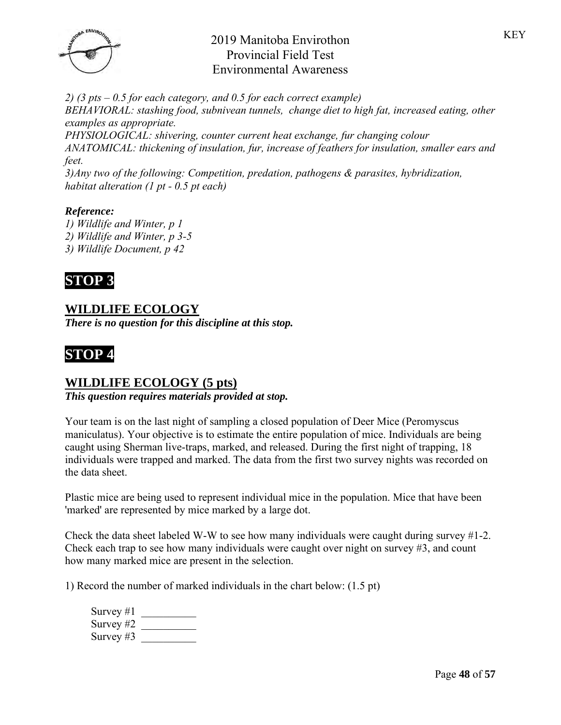

*2) (3 pts – 0.5 for each category, and 0.5 for each correct example) BEHAVIORAL: stashing food, subnivean tunnels, change diet to high fat, increased eating, other examples as appropriate.*

*PHYSIOLOGICAL: shivering, counter current heat exchange, fur changing colour ANATOMICAL: thickening of insulation, fur, increase of feathers for insulation, smaller ears and feet.*

*3)Any two of the following: Competition, predation, pathogens & parasites, hybridization, habitat alteration (1 pt - 0.5 pt each)*

### *Reference:*

*1) Wildlife and Winter, p 1 2) Wildlife and Winter, p 3-5 3) Wildlife Document, p 42*



# **WILDLIFE ECOLOGY**

*There is no question for this discipline at this stop.*



## **WILDLIFE ECOLOGY (5 pts)**

*This question requires materials provided at stop.*

Your team is on the last night of sampling a closed population of Deer Mice (Peromyscus maniculatus). Your objective is to estimate the entire population of mice. Individuals are being caught using Sherman live-traps, marked, and released. During the first night of trapping, 18 individuals were trapped and marked. The data from the first two survey nights was recorded on the data sheet.

Plastic mice are being used to represent individual mice in the population. Mice that have been 'marked' are represented by mice marked by a large dot.

Check the data sheet labeled W-W to see how many individuals were caught during survey #1-2. Check each trap to see how many individuals were caught over night on survey #3, and count how many marked mice are present in the selection.

1) Record the number of marked individuals in the chart below: (1.5 pt)

| Survey $#1$ |  |
|-------------|--|
| Survey $#2$ |  |
| Survey $#3$ |  |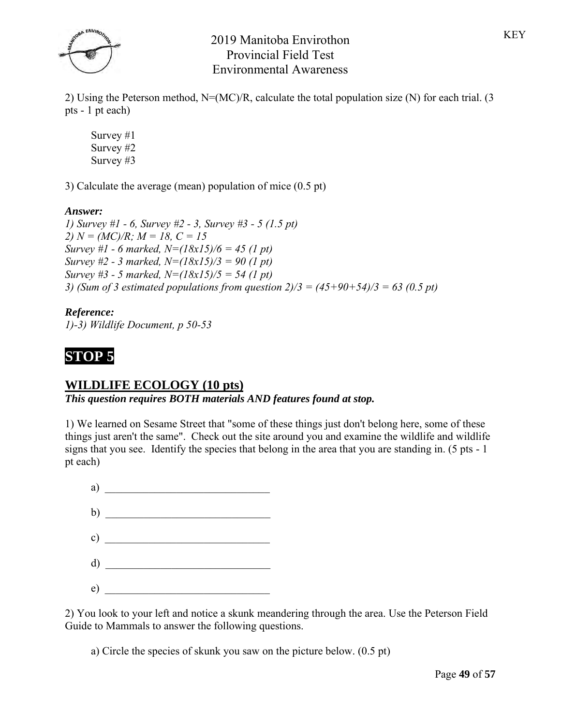

2) Using the Peterson method,  $N=(MC)/R$ , calculate the total population size (N) for each trial. (3 pts - 1 pt each)

Survey #1 Survey #2 Survey #3

3) Calculate the average (mean) population of mice (0.5 pt)

### *Answer:*

*1) Survey #1 - 6, Survey #2 - 3, Survey #3 - 5 (1.5 pt) 2) N = (MC)/R; M = 18, C = 15 Survey #1 - 6 marked, N=(18x15)/6 = 45 (1 pt) Survey #2 - 3 marked, N=(18x15)/3 = 90 (1 pt) Survey #3 - 5 marked, N=(18x15)/5 = 54 (1 pt) 3) (Sum of 3 estimated populations from question 2)/3 = (45+90+54)/3 = 63 (0.5 pt)*

#### *Reference: 1)-3) Wildlife Document, p 50-53*



## **WILDLIFE ECOLOGY (10 pts)**

*This question requires BOTH materials AND features found at stop.*

1) We learned on Sesame Street that "some of these things just don't belong here, some of these things just aren't the same". Check out the site around you and examine the wildlife and wildlife signs that you see. Identify the species that belong in the area that you are standing in. (5 pts - 1 pt each)



2) You look to your left and notice a skunk meandering through the area. Use the Peterson Field Guide to Mammals to answer the following questions.

a) Circle the species of skunk you saw on the picture below. (0.5 pt)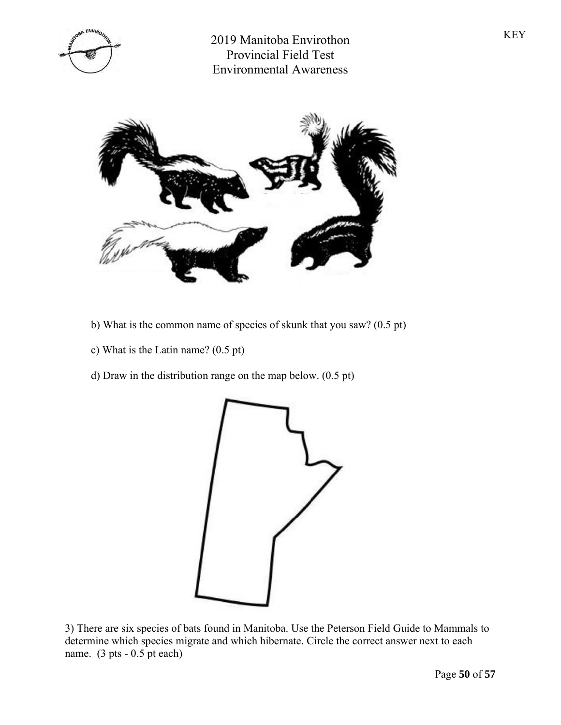



- b) What is the common name of species of skunk that you saw? (0.5 pt)
- c) What is the Latin name? (0.5 pt)
- d) Draw in the distribution range on the map below. (0.5 pt)



3) There are six species of bats found in Manitoba. Use the Peterson Field Guide to Mammals to determine which species migrate and which hibernate. Circle the correct answer next to each name. (3 pts - 0.5 pt each)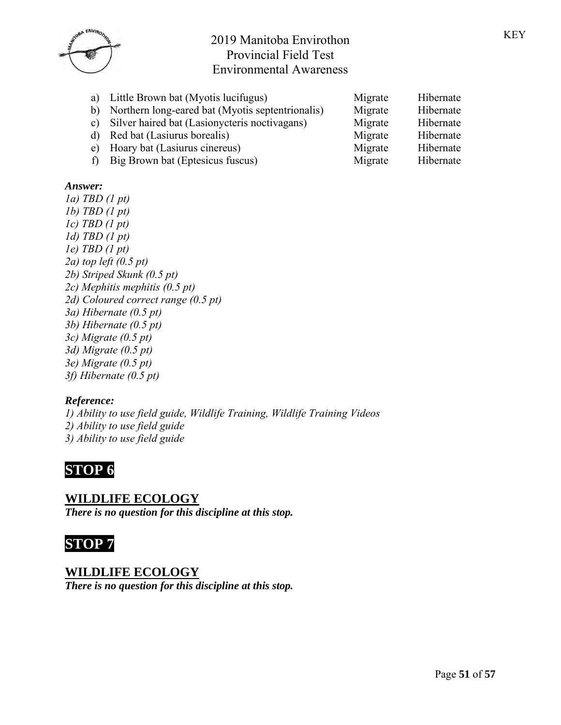| a)  | Little Brown bat (Myotis lucifugus)              | Migrate | Hibernate |
|-----|--------------------------------------------------|---------|-----------|
| b)  | Northern long-eared bat (Myotis septentrionalis) | Migrate | Hibernate |
| C)  | Silver haired bat (Lasionycteris noctivagans)    | Migrate | Hibernate |
|     | d) Red bat (Lasiurus borealis)                   | Migrate | Hibernate |
| e)  | Hoary bat (Lasiurus cinereus)                    | Migrate | Hibernate |
| t). | Big Brown bat (Eptesicus fuscus)                 | Migrate | Hibernate |

### *Answer:*

*1a) TBD (1 pt) 1b) TBD (1 pt) 1c) TBD (1 pt) 1d) TBD (1 pt) 1e) TBD (1 pt) 2a) top left (0.5 pt) 2b) Striped Skunk (0.5 pt) 2c) Mephitis mephitis (0.5 pt) 2d) Coloured correct range (0.5 pt) 3a) Hibernate (0.5 pt) 3b) Hibernate (0.5 pt) 3c) Migrate (0.5 pt) 3d) Migrate (0.5 pt) 3e) Migrate (0.5 pt)*

*3f) Hibernate (0.5 pt)*

### *Reference:*

*1) Ability to use field guide, Wildlife Training, Wildlife Training Videos 2) Ability to use field guide 3) Ability to use field guide*



## **WILDLIFE ECOLOGY**

*There is no question for this discipline at this stop.*



## **WILDLIFE ECOLOGY**

*There is no question for this discipline at this stop.*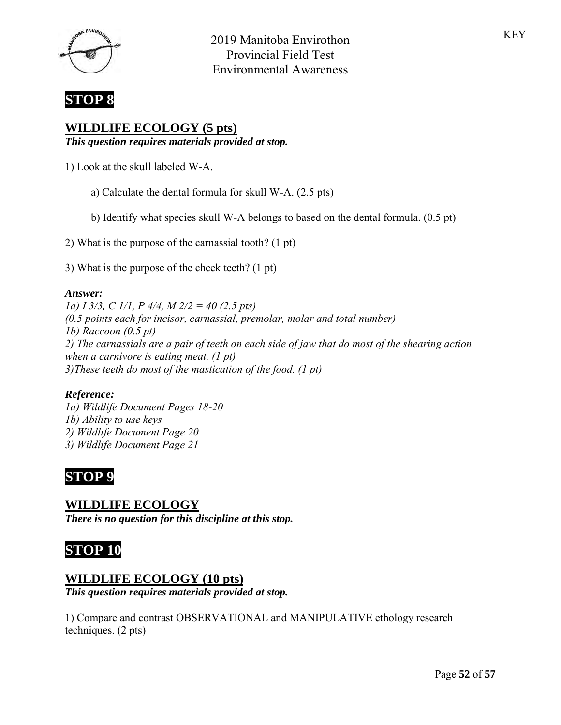



# **WILDLIFE ECOLOGY (5 pts)**

*This question requires materials provided at stop.*

1) Look at the skull labeled W-A.

- a) Calculate the dental formula for skull W-A. (2.5 pts)
- b) Identify what species skull W-A belongs to based on the dental formula. (0.5 pt)

2) What is the purpose of the carnassial tooth? (1 pt)

3) What is the purpose of the cheek teeth? (1 pt)

#### *Answer:*

*1a) I 3/3, C 1/1, P 4/4, M 2/2 = 40 (2.5 pts) (0.5 points each for incisor, carnassial, premolar, molar and total number) 1b) Raccoon (0.5 pt) 2) The carnassials are a pair of teeth on each side of jaw that do most of the shearing action when a carnivore is eating meat. (1 pt) 3)These teeth do most of the mastication of the food. (1 pt)*

### *Reference:*

*1a) Wildlife Document Pages 18-20 1b) Ability to use keys 2) Wildlife Document Page 20 3) Wildlife Document Page 21*



**WILDLIFE ECOLOGY** *There is no question for this discipline at this stop.*

# **STOP 10**

## **WILDLIFE ECOLOGY (10 pts)**

*This question requires materials provided at stop.*

1) Compare and contrast OBSERVATIONAL and MANIPULATIVE ethology research techniques. (2 pts)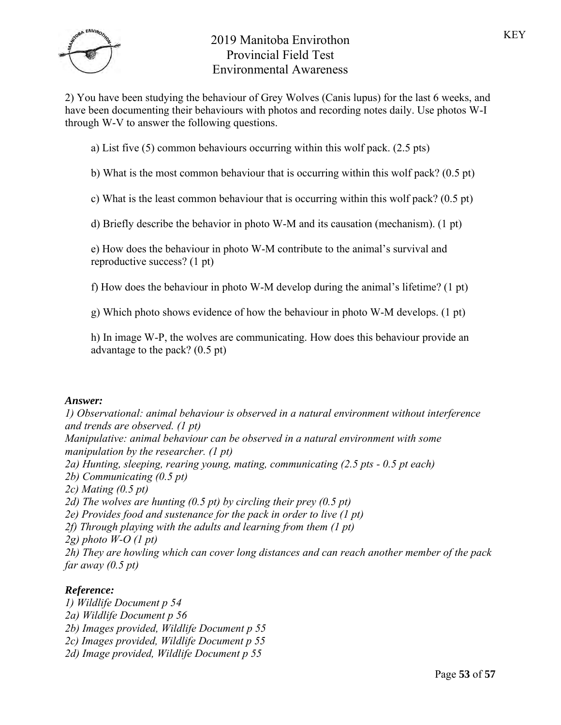

2) You have been studying the behaviour of Grey Wolves (Canis lupus) for the last 6 weeks, and have been documenting their behaviours with photos and recording notes daily. Use photos W-I through W-V to answer the following questions.

- a) List five (5) common behaviours occurring within this wolf pack. (2.5 pts)
- b) What is the most common behaviour that is occurring within this wolf pack? (0.5 pt)
- c) What is the least common behaviour that is occurring within this wolf pack? (0.5 pt)

d) Briefly describe the behavior in photo W-M and its causation (mechanism). (1 pt)

e) How does the behaviour in photo W-M contribute to the animal's survival and reproductive success? (1 pt)

f) How does the behaviour in photo W-M develop during the animal's lifetime? (1 pt)

g) Which photo shows evidence of how the behaviour in photo W-M develops. (1 pt)

h) In image W-P, the wolves are communicating. How does this behaviour provide an advantage to the pack? (0.5 pt)

#### *Answer:*

*1) Observational: animal behaviour is observed in a natural environment without interference and trends are observed. (1 pt) Manipulative: animal behaviour can be observed in a natural environment with some manipulation by the researcher. (1 pt) 2a) Hunting, sleeping, rearing young, mating, communicating (2.5 pts - 0.5 pt each) 2b) Communicating (0.5 pt) 2c) Mating (0.5 pt) 2d) The wolves are hunting (0.5 pt) by circling their prey (0.5 pt) 2e) Provides food and sustenance for the pack in order to live (1 pt) 2f) Through playing with the adults and learning from them (1 pt) 2g) photo W-O (1 pt) 2h) They are howling which can cover long distances and can reach another member of the pack far away (0.5 pt)*

### *Reference:*

*1) Wildlife Document p 54 2a) Wildlife Document p 56 2b) Images provided, Wildlife Document p 55 2c) Images provided, Wildlife Document p 55 2d) Image provided, Wildlife Document p 55*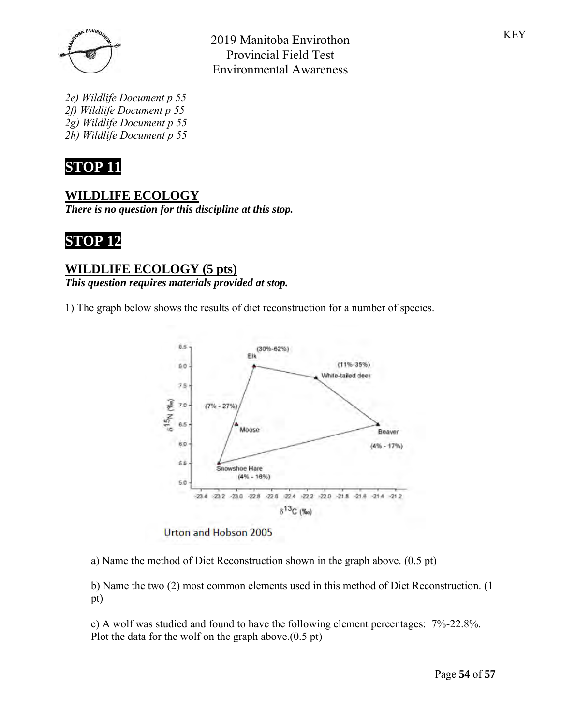

*2e) Wildlife Document p 55 2f) Wildlife Document p 55 2g) Wildlife Document p 55 2h) Wildlife Document p 55*



## **WILDLIFE ECOLOGY**

*There is no question for this discipline at this stop.*



## **WILDLIFE ECOLOGY (5 pts)**

*This question requires materials provided at stop.*

1) The graph below shows the results of diet reconstruction for a number of species.



2019 Manitoba Envirothon Provincial Field Test Environmental Awareness

Urton and Hobson 2005

a) Name the method of Diet Reconstruction shown in the graph above. (0.5 pt)

b) Name the two (2) most common elements used in this method of Diet Reconstruction. (1 pt)

c) A wolf was studied and found to have the following element percentages: 7%-22.8%. Plot the data for the wolf on the graph above.(0.5 pt)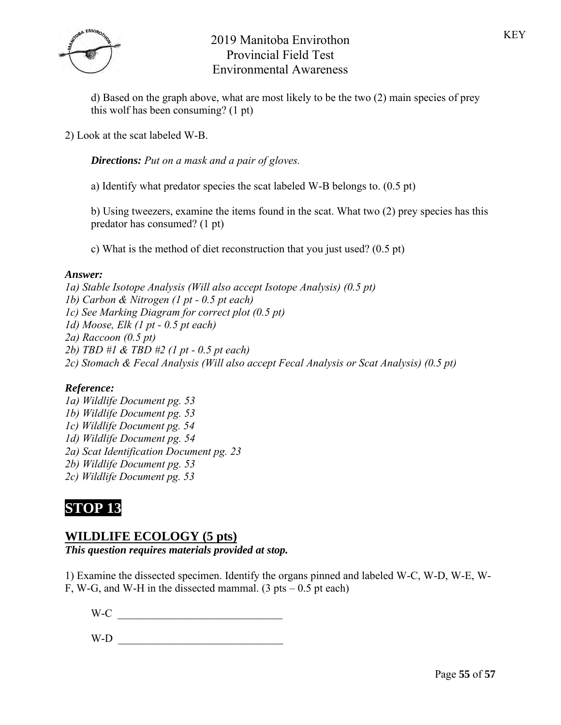

d) Based on the graph above, what are most likely to be the two (2) main species of prey this wolf has been consuming? (1 pt)

2) Look at the scat labeled W-B.

*Directions: Put on a mask and a pair of gloves.*

a) Identify what predator species the scat labeled W-B belongs to. (0.5 pt)

b) Using tweezers, examine the items found in the scat. What two (2) prey species has this predator has consumed? (1 pt)

c) What is the method of diet reconstruction that you just used? (0.5 pt)

#### *Answer:*

*1a) Stable Isotope Analysis (Will also accept Isotope Analysis) (0.5 pt) 1b) Carbon & Nitrogen (1 pt - 0.5 pt each) 1c) See Marking Diagram for correct plot (0.5 pt) 1d) Moose, Elk (1 pt - 0.5 pt each) 2a) Raccoon (0.5 pt) 2b) TBD #1 & TBD #2 (1 pt - 0.5 pt each) 2c) Stomach & Fecal Analysis (Will also accept Fecal Analysis or Scat Analysis) (0.5 pt)*

### *Reference:*

*1a) Wildlife Document pg. 53 1b) Wildlife Document pg. 53 1c) Wildlife Document pg. 54 1d) Wildlife Document pg. 54 2a) Scat Identification Document pg. 23 2b) Wildlife Document pg. 53 2c) Wildlife Document pg. 53*

# **STOP 13**

## **WILDLIFE ECOLOGY (5 pts)**

*This question requires materials provided at stop.*

1) Examine the dissected specimen. Identify the organs pinned and labeled W-C, W-D, W-E, W-

F, W-G, and W-H in the dissected mammal.  $(3 \text{ pts} - 0.5 \text{ pt each})$ 

 $W-C$   $\overline{\phantom{a}}$ 

 $W-D$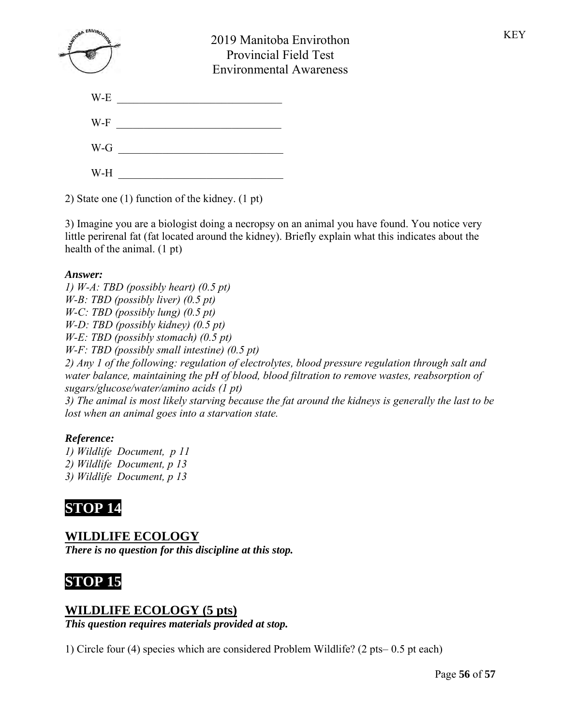| WINDOW ENVIS | 2019 Manitoba Envirothon<br><b>Provincial Field Test</b><br><b>Environmental Awareness</b> |  |  |
|--------------|--------------------------------------------------------------------------------------------|--|--|
| W-E          |                                                                                            |  |  |
| W-F          |                                                                                            |  |  |
| $W-G$        |                                                                                            |  |  |
| W-H          |                                                                                            |  |  |

2) State one (1) function of the kidney. (1 pt)

3) Imagine you are a biologist doing a necropsy on an animal you have found. You notice very little perirenal fat (fat located around the kidney). Briefly explain what this indicates about the health of the animal. (1 pt)

### *Answer:*

*1) W-A: TBD (possibly heart) (0.5 pt) W-B: TBD (possibly liver) (0.5 pt) W-C: TBD (possibly lung) (0.5 pt) W-D: TBD (possibly kidney) (0.5 pt) W-E: TBD (possibly stomach) (0.5 pt) W-F: TBD (possibly small intestine) (0.5 pt) 2) Any 1 of the following: regulation of electrolytes, blood pressure regulation through salt and water balance, maintaining the pH of blood, blood filtration to remove wastes, reabsorption of sugars/glucose/water/amino acids (1 pt) 3) The animal is most likely starving because the fat around the kidneys is generally the last to be lost when an animal goes into a starvation state.* 

### *Reference:*

*1) Wildlife Document, p 11 2) Wildlife Document, p 13 3) Wildlife Document, p 13*

# **STOP 14**

**WILDLIFE ECOLOGY** *There is no question for this discipline at this stop.*

# **STOP 15**

## **WILDLIFE ECOLOGY (5 pts)**

*This question requires materials provided at stop.*

1) Circle four (4) species which are considered Problem Wildlife? (2 pts– 0.5 pt each)